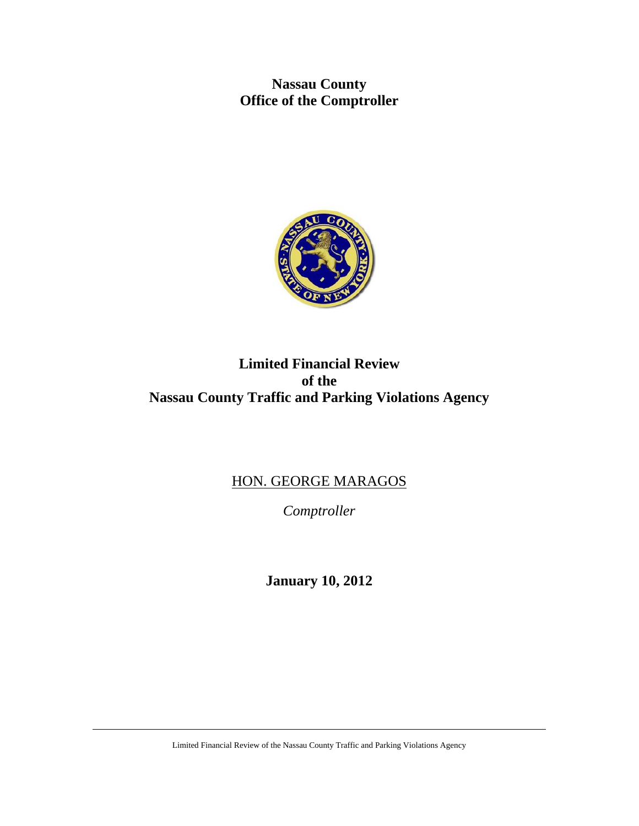**Nassau County Office of the Comptroller** 



# **Limited Financial Review of the Nassau County Traffic and Parking Violations Agency**

# HON. GEORGE MARAGOS

*Comptroller* 

**January 10, 2012** 

Limited Financial Review of the Nassau County Traffic and Parking Violations Agency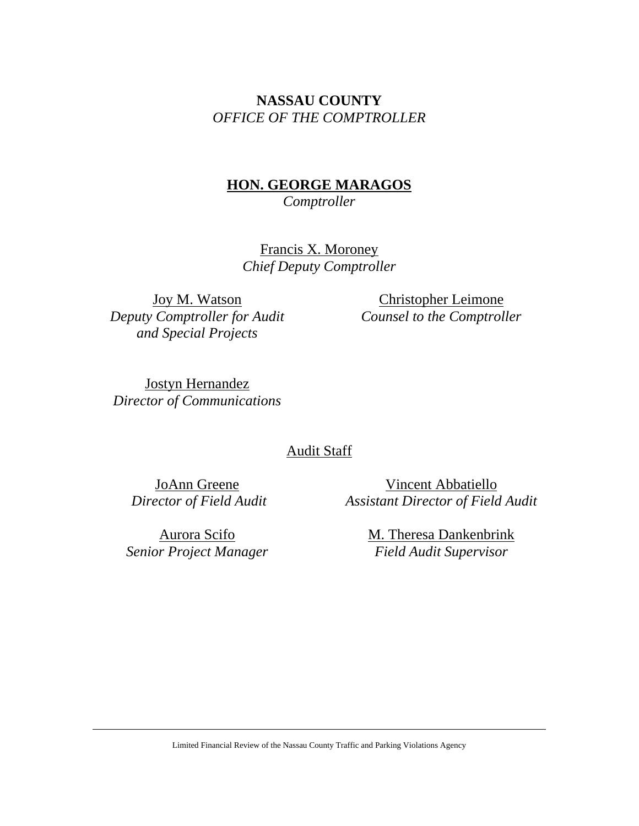# **NASSAU COUNTY**  *OFFICE OF THE COMPTROLLER*

# **HON. GEORGE MARAGOS**

*Comptroller* 

Francis X. Moroney *Chief Deputy Comptroller* 

Joy M. Watson *Deputy Comptroller for Audit and Special Projects* 

Christopher Leimone *Counsel to the Comptroller* 

Jostyn Hernandez *Director of Communications* 

# Audit Staff

JoAnn Greene  *Director of Field Audit*

Vincent Abbatiello *Assistant Director of Field Audit* 

Aurora Scifo *Senior Project Manager* M. Theresa Dankenbrink *Field Audit Supervisor*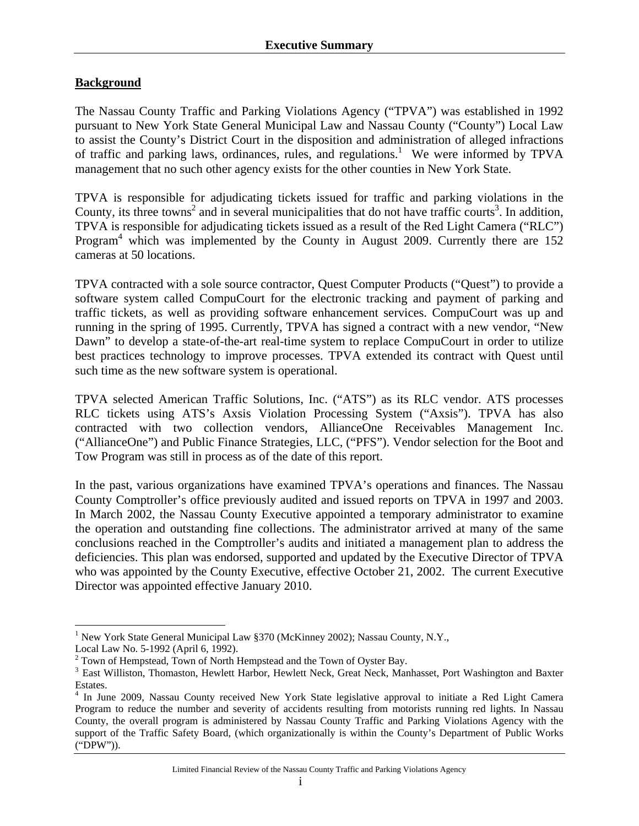### **Background**

The Nassau County Traffic and Parking Violations Agency ("TPVA") was established in 1992 pursuant to New York State General Municipal Law and Nassau County ("County") Local Law to assist the County's District Court in the disposition and administration of alleged infractions of traffic and parking laws, ordinances, rules, and regulations.<sup>1</sup> We were informed by TPVA management that no such other agency exists for the other counties in New York State.

TPVA is responsible for adjudicating tickets issued for traffic and parking violations in the County, its three towns<sup>2</sup> and in several municipalities that do not have traffic courts<sup>3</sup>. In addition, TPVA is responsible for adjudicating tickets issued as a result of the Red Light Camera ("RLC") Program<sup>4</sup> which was implemented by the County in August 2009. Currently there are 152 cameras at 50 locations.

TPVA contracted with a sole source contractor, Quest Computer Products ("Quest") to provide a software system called CompuCourt for the electronic tracking and payment of parking and traffic tickets, as well as providing software enhancement services. CompuCourt was up and running in the spring of 1995. Currently, TPVA has signed a contract with a new vendor, "New Dawn" to develop a state-of-the-art real-time system to replace CompuCourt in order to utilize best practices technology to improve processes. TPVA extended its contract with Quest until such time as the new software system is operational.

TPVA selected American Traffic Solutions, Inc. ("ATS") as its RLC vendor. ATS processes RLC tickets using ATS's Axsis Violation Processing System ("Axsis"). TPVA has also contracted with two collection vendors, AllianceOne Receivables Management Inc. ("AllianceOne") and Public Finance Strategies, LLC, ("PFS"). Vendor selection for the Boot and Tow Program was still in process as of the date of this report.

In the past, various organizations have examined TPVA's operations and finances. The Nassau County Comptroller's office previously audited and issued reports on TPVA in 1997 and 2003. In March 2002, the Nassau County Executive appointed a temporary administrator to examine the operation and outstanding fine collections. The administrator arrived at many of the same conclusions reached in the Comptroller's audits and initiated a management plan to address the deficiencies. This plan was endorsed, supported and updated by the Executive Director of TPVA who was appointed by the County Executive, effective October 21, 2002. The current Executive Director was appointed effective January 2010.

 $\overline{a}$ 

<sup>&</sup>lt;sup>1</sup> New York State General Municipal Law §370 (McKinney 2002); Nassau County, N.Y.,

Local Law No. 5-1992 (April 6, 1992).

<sup>&</sup>lt;sup>2</sup> Town of Hempstead, Town of North Hempstead and the Town of Oyster Bay.

<sup>&</sup>lt;sup>3</sup> East Williston, Thomaston, Hewlett Harbor, Hewlett Neck, Great Neck, Manhasset, Port Washington and Baxter Estates.

<sup>&</sup>lt;sup>4</sup> In June 2009, Nassau County received New York State legislative approval to initiate a Red Light Camera Program to reduce the number and severity of accidents resulting from motorists running red lights. In Nassau County, the overall program is administered by Nassau County Traffic and Parking Violations Agency with the support of the Traffic Safety Board, (which organizationally is within the County's Department of Public Works ("DPW")).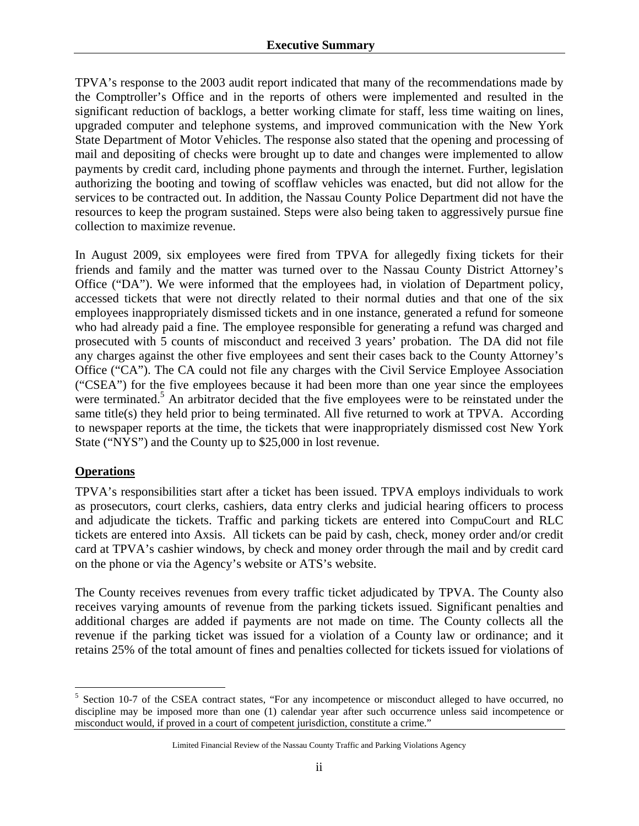TPVA's response to the 2003 audit report indicated that many of the recommendations made by the Comptroller's Office and in the reports of others were implemented and resulted in the significant reduction of backlogs, a better working climate for staff, less time waiting on lines, upgraded computer and telephone systems, and improved communication with the New York State Department of Motor Vehicles. The response also stated that the opening and processing of mail and depositing of checks were brought up to date and changes were implemented to allow payments by credit card, including phone payments and through the internet. Further, legislation authorizing the booting and towing of scofflaw vehicles was enacted, but did not allow for the services to be contracted out. In addition, the Nassau County Police Department did not have the resources to keep the program sustained. Steps were also being taken to aggressively pursue fine collection to maximize revenue.

In August 2009, six employees were fired from TPVA for allegedly fixing tickets for their friends and family and the matter was turned over to the Nassau County District Attorney's Office ("DA"). We were informed that the employees had, in violation of Department policy, accessed tickets that were not directly related to their normal duties and that one of the six employees inappropriately dismissed tickets and in one instance, generated a refund for someone who had already paid a fine. The employee responsible for generating a refund was charged and prosecuted with 5 counts of misconduct and received 3 years' probation. The DA did not file any charges against the other five employees and sent their cases back to the County Attorney's Office ("CA"). The CA could not file any charges with the Civil Service Employee Association ("CSEA") for the five employees because it had been more than one year since the employees were terminated.<sup>5</sup> An arbitrator decided that the five employees were to be reinstated under the same title(s) they held prior to being terminated. All five returned to work at TPVA. According to newspaper reports at the time, the tickets that were inappropriately dismissed cost New York State ("NYS") and the County up to \$25,000 in lost revenue.

### **Operations**

 $\overline{a}$ 

TPVA's responsibilities start after a ticket has been issued. TPVA employs individuals to work as prosecutors, court clerks, cashiers, data entry clerks and judicial hearing officers to process and adjudicate the tickets. Traffic and parking tickets are entered into CompuCourt and RLC tickets are entered into Axsis. All tickets can be paid by cash, check, money order and/or credit card at TPVA's cashier windows, by check and money order through the mail and by credit card on the phone or via the Agency's website or ATS's website.

The County receives revenues from every traffic ticket adjudicated by TPVA. The County also receives varying amounts of revenue from the parking tickets issued. Significant penalties and additional charges are added if payments are not made on time. The County collects all the revenue if the parking ticket was issued for a violation of a County law or ordinance; and it retains 25% of the total amount of fines and penalties collected for tickets issued for violations of

<sup>&</sup>lt;sup>5</sup> Section 10-7 of the CSEA contract states, "For any incompetence or misconduct alleged to have occurred, no discipline may be imposed more than one (1) calendar year after such occurrence unless said incompetence or misconduct would, if proved in a court of competent jurisdiction, constitute a crime."

Limited Financial Review of the Nassau County Traffic and Parking Violations Agency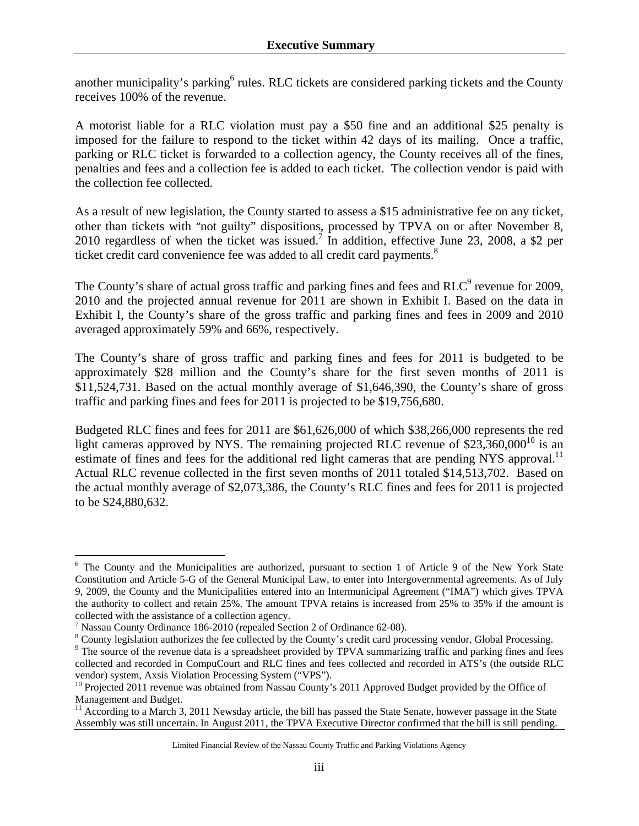another municipality's parking<sup>6</sup> rules. RLC tickets are considered parking tickets and the County receives 100% of the revenue.

A motorist liable for a RLC violation must pay a \$50 fine and an additional \$25 penalty is imposed for the failure to respond to the ticket within 42 days of its mailing. Once a traffic, parking or RLC ticket is forwarded to a collection agency, the County receives all of the fines, penalties and fees and a collection fee is added to each ticket. The collection vendor is paid with the collection fee collected.

As a result of new legislation, the County started to assess a \$15 administrative fee on any ticket, other than tickets with "not guilty" dispositions, processed by TPVA on or after November 8, 2010 regardless of when the ticket was issued.<sup>7</sup> In addition, effective June 23, 2008, a \$2 per ticket credit card convenience fee was added to all credit card payments.<sup>8</sup>

The County's share of actual gross traffic and parking fines and fees and  $RLC<sup>9</sup>$  revenue for 2009, 2010 and the projected annual revenue for 2011 are shown in Exhibit I. Based on the data in Exhibit I, the County's share of the gross traffic and parking fines and fees in 2009 and 2010 averaged approximately 59% and 66%, respectively.

The County's share of gross traffic and parking fines and fees for 2011 is budgeted to be approximately \$28 million and the County's share for the first seven months of 2011 is \$11,524,731. Based on the actual monthly average of \$1,646,390, the County's share of gross traffic and parking fines and fees for 2011 is projected to be \$19,756,680.

Budgeted RLC fines and fees for 2011 are \$61,626,000 of which \$38,266,000 represents the red light cameras approved by NYS. The remaining projected RLC revenue of  $$23,360,000^{10}$  is an estimate of fines and fees for the additional red light cameras that are pending NYS approval.<sup>11</sup> Actual RLC revenue collected in the first seven months of 2011 totaled \$14,513,702. Based on the actual monthly average of \$2,073,386, the County's RLC fines and fees for 2011 is projected to be \$24,880,632.

1

<sup>&</sup>lt;sup>6</sup> The County and the Municipalities are authorized, pursuant to section 1 of Article 9 of the New York State Constitution and Article 5-G of the General Municipal Law, to enter into Intergovernmental agreements. As of July 9, 2009, the County and the Municipalities entered into an Intermunicipal Agreement ("IMA") which gives TPVA the authority to collect and retain 25%. The amount TPVA retains is increased from 25% to 35% if the amount is collected with the assistance of a collection agency.

Nassau County Ordinance 186-2010 (repealed Section 2 of Ordinance 62-08).

 $^8$  County legislation authorizes the fee collected by the County's credit card processing vendor, Global Processing.<br><sup>9</sup> The source of the revenue data is a spreadsheet provided by TBVA summerizing traffic and parking f

<sup>&</sup>lt;sup>9</sup> The source of the revenue data is a spreadsheet provided by TPVA summarizing traffic and parking fines and fees collected and recorded in CompuCourt and RLC fines and fees collected and recorded in ATS's (the outside RLC

 $^{10}$  Projected 2011 revenue was obtained from Nassau County's 2011 Approved Budget provided by the Office of Management and Budget.

 $11$  According to a March 3, 2011 Newsday article, the bill has passed the State Senate, however passage in the State Assembly was still uncertain. In August 2011, the TPVA Executive Director confirmed that the bill is still pending.

Limited Financial Review of the Nassau County Traffic and Parking Violations Agency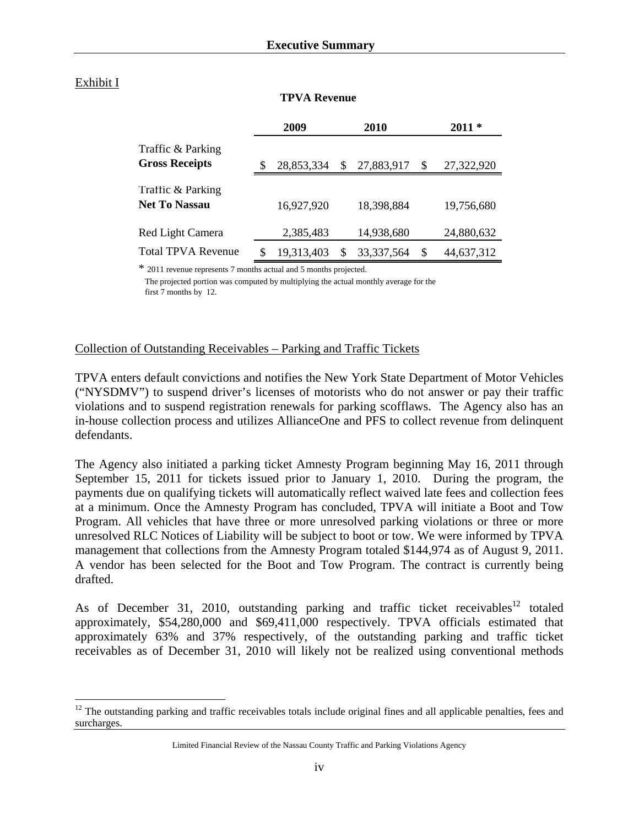#### Exhibit I

1

|                                            | 2009       |   | <b>2010</b>  | $2011*$ |            |  |
|--------------------------------------------|------------|---|--------------|---------|------------|--|
| Traffic & Parking<br><b>Gross Receipts</b> | 28,853,334 | S | 27,883,917   | \$      | 27,322,920 |  |
| Traffic & Parking<br><b>Net To Nassau</b>  | 16,927,920 |   | 18,398,884   |         | 19,756,680 |  |
| Red Light Camera                           | 2,385,483  |   | 14,938,680   |         | 24,880,632 |  |
| Total TPVA Revenue                         | 19,313,403 |   | 33, 337, 564 | S       | 44,637,312 |  |

#### **TPVA Revenue**

\* 2011 revenue represents 7 months actual and 5 months projected.

 The projected portion was computed by multiplying the actual monthly average for the first 7 months by 12.

#### Collection of Outstanding Receivables – Parking and Traffic Tickets

TPVA enters default convictions and notifies the New York State Department of Motor Vehicles ("NYSDMV") to suspend driver's licenses of motorists who do not answer or pay their traffic violations and to suspend registration renewals for parking scofflaws. The Agency also has an in-house collection process and utilizes AllianceOne and PFS to collect revenue from delinquent defendants.

The Agency also initiated a parking ticket Amnesty Program beginning May 16, 2011 through September 15, 2011 for tickets issued prior to January 1, 2010. During the program, the payments due on qualifying tickets will automatically reflect waived late fees and collection fees at a minimum. Once the Amnesty Program has concluded, TPVA will initiate a Boot and Tow Program. All vehicles that have three or more unresolved parking violations or three or more unresolved RLC Notices of Liability will be subject to boot or tow. We were informed by TPVA management that collections from the Amnesty Program totaled \$144,974 as of August 9, 2011. A vendor has been selected for the Boot and Tow Program. The contract is currently being drafted.

As of December 31, 2010, outstanding parking and traffic ticket receivables<sup>12</sup> totaled approximately, \$54,280,000 and \$69,411,000 respectively. TPVA officials estimated that approximately 63% and 37% respectively, of the outstanding parking and traffic ticket receivables as of December 31, 2010 will likely not be realized using conventional methods

 $12$  The outstanding parking and traffic receivables totals include original fines and all applicable penalties, fees and surcharges.

Limited Financial Review of the Nassau County Traffic and Parking Violations Agency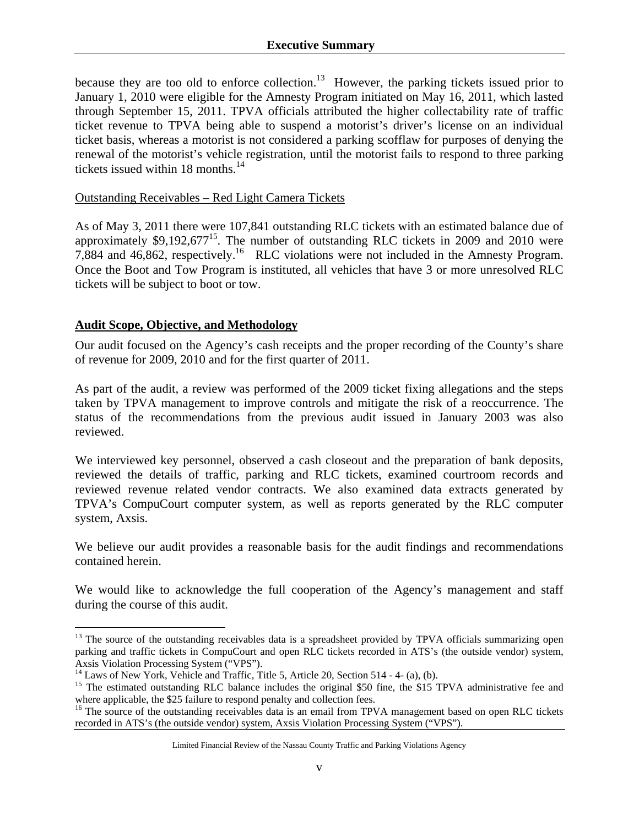because they are too old to enforce collection.<sup>13</sup> However, the parking tickets issued prior to January 1, 2010 were eligible for the Amnesty Program initiated on May 16, 2011, which lasted through September 15, 2011. TPVA officials attributed the higher collectability rate of traffic ticket revenue to TPVA being able to suspend a motorist's driver's license on an individual ticket basis, whereas a motorist is not considered a parking scofflaw for purposes of denying the renewal of the motorist's vehicle registration, until the motorist fails to respond to three parking tickets issued within  $18$  months.<sup>14</sup>

#### Outstanding Receivables – Red Light Camera Tickets

As of May 3, 2011 there were 107,841 outstanding RLC tickets with an estimated balance due of approximately \$9,192,677<sup>15</sup>. The number of outstanding RLC tickets in 2009 and 2010 were 7,884 and 46,862, respectively.16 RLC violations were not included in the Amnesty Program. Once the Boot and Tow Program is instituted, all vehicles that have 3 or more unresolved RLC tickets will be subject to boot or tow.

### **Audit Scope, Objective, and Methodology**

 $\overline{a}$ 

Our audit focused on the Agency's cash receipts and the proper recording of the County's share of revenue for 2009, 2010 and for the first quarter of 2011.

As part of the audit, a review was performed of the 2009 ticket fixing allegations and the steps taken by TPVA management to improve controls and mitigate the risk of a reoccurrence. The status of the recommendations from the previous audit issued in January 2003 was also reviewed.

We interviewed key personnel, observed a cash closeout and the preparation of bank deposits, reviewed the details of traffic, parking and RLC tickets, examined courtroom records and reviewed revenue related vendor contracts. We also examined data extracts generated by TPVA's CompuCourt computer system, as well as reports generated by the RLC computer system, Axsis.

We believe our audit provides a reasonable basis for the audit findings and recommendations contained herein.

We would like to acknowledge the full cooperation of the Agency's management and staff during the course of this audit.

<sup>&</sup>lt;sup>13</sup> The source of the outstanding receivables data is a spreadsheet provided by TPVA officials summarizing open parking and traffic tickets in CompuCourt and open RLC tickets recorded in ATS's (the outside vendor) system, Axsis Violation Processing System ("VPS").<br><sup>14</sup> Laws of New York, Vehicle and Traffic, Title 5, Article 20, Section 514 - 4- (a), (b).

<sup>&</sup>lt;sup>15</sup> The estimated outstanding RLC balance includes the original \$50 fine, the \$15 TPVA administrative fee and where applicable, the \$25 failure to respond penalty and collection fees.

<sup>&</sup>lt;sup>16</sup> The source of the outstanding receivables data is an email from TPVA management based on open RLC tickets recorded in ATS's (the outside vendor) system, Axsis Violation Processing System ("VPS").

Limited Financial Review of the Nassau County Traffic and Parking Violations Agency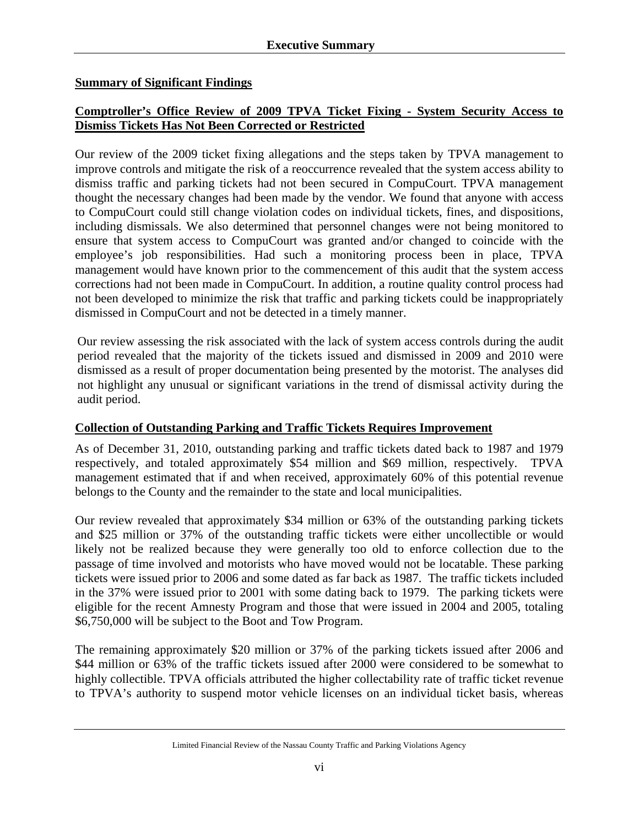### **Summary of Significant Findings**

# **Comptroller's Office Review of 2009 TPVA Ticket Fixing - System Security Access to Dismiss Tickets Has Not Been Corrected or Restricted**

Our review of the 2009 ticket fixing allegations and the steps taken by TPVA management to improve controls and mitigate the risk of a reoccurrence revealed that the system access ability to dismiss traffic and parking tickets had not been secured in CompuCourt. TPVA management thought the necessary changes had been made by the vendor. We found that anyone with access to CompuCourt could still change violation codes on individual tickets, fines, and dispositions, including dismissals. We also determined that personnel changes were not being monitored to ensure that system access to CompuCourt was granted and/or changed to coincide with the employee's job responsibilities. Had such a monitoring process been in place, TPVA management would have known prior to the commencement of this audit that the system access corrections had not been made in CompuCourt. In addition, a routine quality control process had not been developed to minimize the risk that traffic and parking tickets could be inappropriately dismissed in CompuCourt and not be detected in a timely manner.

Our review assessing the risk associated with the lack of system access controls during the audit period revealed that the majority of the tickets issued and dismissed in 2009 and 2010 were dismissed as a result of proper documentation being presented by the motorist. The analyses did not highlight any unusual or significant variations in the trend of dismissal activity during the audit period.

### **Collection of Outstanding Parking and Traffic Tickets Requires Improvement**

As of December 31, 2010, outstanding parking and traffic tickets dated back to 1987 and 1979 respectively, and totaled approximately \$54 million and \$69 million, respectively. TPVA management estimated that if and when received, approximately 60% of this potential revenue belongs to the County and the remainder to the state and local municipalities.

Our review revealed that approximately \$34 million or 63% of the outstanding parking tickets and \$25 million or 37% of the outstanding traffic tickets were either uncollectible or would likely not be realized because they were generally too old to enforce collection due to the passage of time involved and motorists who have moved would not be locatable. These parking tickets were issued prior to 2006 and some dated as far back as 1987. The traffic tickets included in the 37% were issued prior to 2001 with some dating back to 1979. The parking tickets were eligible for the recent Amnesty Program and those that were issued in 2004 and 2005, totaling \$6,750,000 will be subject to the Boot and Tow Program.

The remaining approximately \$20 million or 37% of the parking tickets issued after 2006 and \$44 million or 63% of the traffic tickets issued after 2000 were considered to be somewhat to highly collectible. TPVA officials attributed the higher collectability rate of traffic ticket revenue to TPVA's authority to suspend motor vehicle licenses on an individual ticket basis, whereas

Limited Financial Review of the Nassau County Traffic and Parking Violations Agency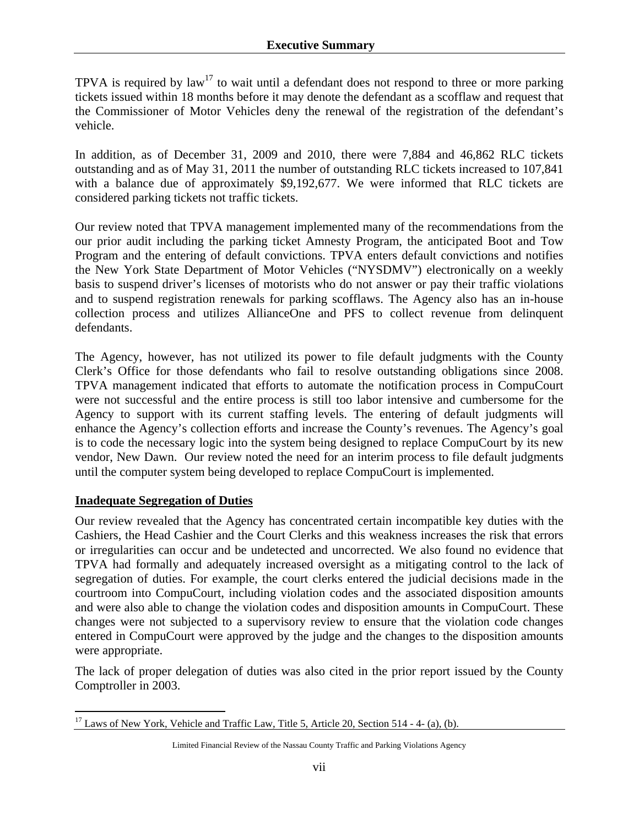TPVA is required by  $law^{17}$  to wait until a defendant does not respond to three or more parking tickets issued within 18 months before it may denote the defendant as a scofflaw and request that the Commissioner of Motor Vehicles deny the renewal of the registration of the defendant's vehicle.

In addition, as of December 31, 2009 and 2010, there were 7,884 and 46,862 RLC tickets outstanding and as of May 31, 2011 the number of outstanding RLC tickets increased to 107,841 with a balance due of approximately \$9,192,677. We were informed that RLC tickets are considered parking tickets not traffic tickets.

Our review noted that TPVA management implemented many of the recommendations from the our prior audit including the parking ticket Amnesty Program, the anticipated Boot and Tow Program and the entering of default convictions. TPVA enters default convictions and notifies the New York State Department of Motor Vehicles ("NYSDMV") electronically on a weekly basis to suspend driver's licenses of motorists who do not answer or pay their traffic violations and to suspend registration renewals for parking scofflaws. The Agency also has an in-house collection process and utilizes AllianceOne and PFS to collect revenue from delinquent defendants.

The Agency, however, has not utilized its power to file default judgments with the County Clerk's Office for those defendants who fail to resolve outstanding obligations since 2008. TPVA management indicated that efforts to automate the notification process in CompuCourt were not successful and the entire process is still too labor intensive and cumbersome for the Agency to support with its current staffing levels. The entering of default judgments will enhance the Agency's collection efforts and increase the County's revenues. The Agency's goal is to code the necessary logic into the system being designed to replace CompuCourt by its new vendor, New Dawn. Our review noted the need for an interim process to file default judgments until the computer system being developed to replace CompuCourt is implemented.

#### **Inadequate Segregation of Duties**

Our review revealed that the Agency has concentrated certain incompatible key duties with the Cashiers, the Head Cashier and the Court Clerks and this weakness increases the risk that errors or irregularities can occur and be undetected and uncorrected. We also found no evidence that TPVA had formally and adequately increased oversight as a mitigating control to the lack of segregation of duties. For example, the court clerks entered the judicial decisions made in the courtroom into CompuCourt, including violation codes and the associated disposition amounts and were also able to change the violation codes and disposition amounts in CompuCourt. These changes were not subjected to a supervisory review to ensure that the violation code changes entered in CompuCourt were approved by the judge and the changes to the disposition amounts were appropriate.

The lack of proper delegation of duties was also cited in the prior report issued by the County Comptroller in 2003.

 $\overline{a}$  $17$  Laws of New York, Vehicle and Traffic Law, Title 5, Article 20, Section 514 - 4- (a), (b).

Limited Financial Review of the Nassau County Traffic and Parking Violations Agency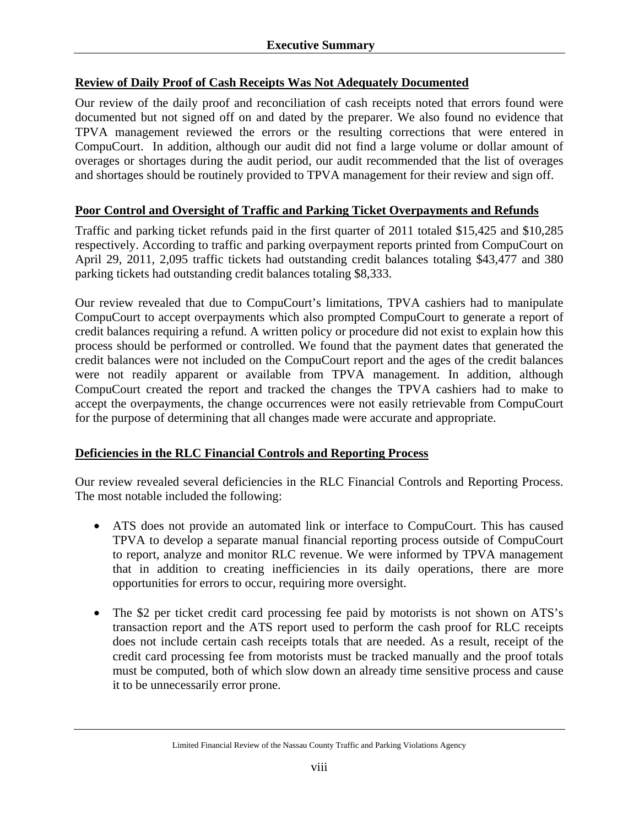# **Review of Daily Proof of Cash Receipts Was Not Adequately Documented**

Our review of the daily proof and reconciliation of cash receipts noted that errors found were documented but not signed off on and dated by the preparer. We also found no evidence that TPVA management reviewed the errors or the resulting corrections that were entered in CompuCourt. In addition, although our audit did not find a large volume or dollar amount of overages or shortages during the audit period, our audit recommended that the list of overages and shortages should be routinely provided to TPVA management for their review and sign off.

# **Poor Control and Oversight of Traffic and Parking Ticket Overpayments and Refunds**

Traffic and parking ticket refunds paid in the first quarter of 2011 totaled \$15,425 and \$10,285 respectively. According to traffic and parking overpayment reports printed from CompuCourt on April 29, 2011, 2,095 traffic tickets had outstanding credit balances totaling \$43,477 and 380 parking tickets had outstanding credit balances totaling \$8,333.

Our review revealed that due to CompuCourt's limitations, TPVA cashiers had to manipulate CompuCourt to accept overpayments which also prompted CompuCourt to generate a report of credit balances requiring a refund. A written policy or procedure did not exist to explain how this process should be performed or controlled. We found that the payment dates that generated the credit balances were not included on the CompuCourt report and the ages of the credit balances were not readily apparent or available from TPVA management. In addition, although CompuCourt created the report and tracked the changes the TPVA cashiers had to make to accept the overpayments, the change occurrences were not easily retrievable from CompuCourt for the purpose of determining that all changes made were accurate and appropriate.

### **Deficiencies in the RLC Financial Controls and Reporting Process**

Our review revealed several deficiencies in the RLC Financial Controls and Reporting Process. The most notable included the following:

- ATS does not provide an automated link or interface to CompuCourt. This has caused TPVA to develop a separate manual financial reporting process outside of CompuCourt to report, analyze and monitor RLC revenue. We were informed by TPVA management that in addition to creating inefficiencies in its daily operations, there are more opportunities for errors to occur, requiring more oversight.
- The \$2 per ticket credit card processing fee paid by motorists is not shown on ATS's transaction report and the ATS report used to perform the cash proof for RLC receipts does not include certain cash receipts totals that are needed. As a result, receipt of the credit card processing fee from motorists must be tracked manually and the proof totals must be computed, both of which slow down an already time sensitive process and cause it to be unnecessarily error prone.

#### Limited Financial Review of the Nassau County Traffic and Parking Violations Agency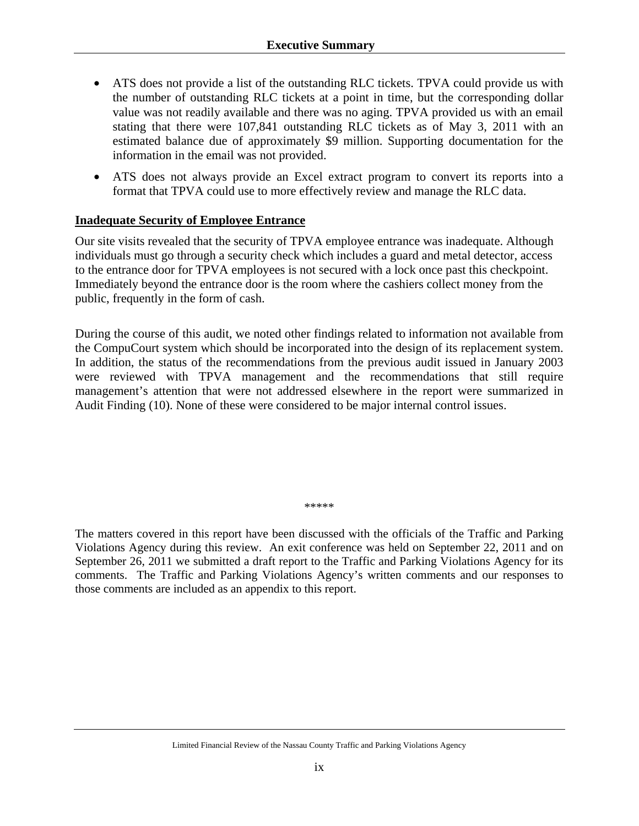- ATS does not provide a list of the outstanding RLC tickets. TPVA could provide us with the number of outstanding RLC tickets at a point in time, but the corresponding dollar value was not readily available and there was no aging. TPVA provided us with an email stating that there were 107,841 outstanding RLC tickets as of May 3, 2011 with an estimated balance due of approximately \$9 million. Supporting documentation for the information in the email was not provided.
- ATS does not always provide an Excel extract program to convert its reports into a format that TPVA could use to more effectively review and manage the RLC data.

### **Inadequate Security of Employee Entrance**

Our site visits revealed that the security of TPVA employee entrance was inadequate. Although individuals must go through a security check which includes a guard and metal detector, access to the entrance door for TPVA employees is not secured with a lock once past this checkpoint. Immediately beyond the entrance door is the room where the cashiers collect money from the public, frequently in the form of cash.

During the course of this audit, we noted other findings related to information not available from the CompuCourt system which should be incorporated into the design of its replacement system. In addition, the status of the recommendations from the previous audit issued in January 2003 were reviewed with TPVA management and the recommendations that still require management's attention that were not addressed elsewhere in the report were summarized in Audit Finding (10). None of these were considered to be major internal control issues.

\*\*\*\*\*

The matters covered in this report have been discussed with the officials of the Traffic and Parking Violations Agency during this review. An exit conference was held on September 22, 2011 and on September 26, 2011 we submitted a draft report to the Traffic and Parking Violations Agency for its comments. The Traffic and Parking Violations Agency's written comments and our responses to those comments are included as an appendix to this report.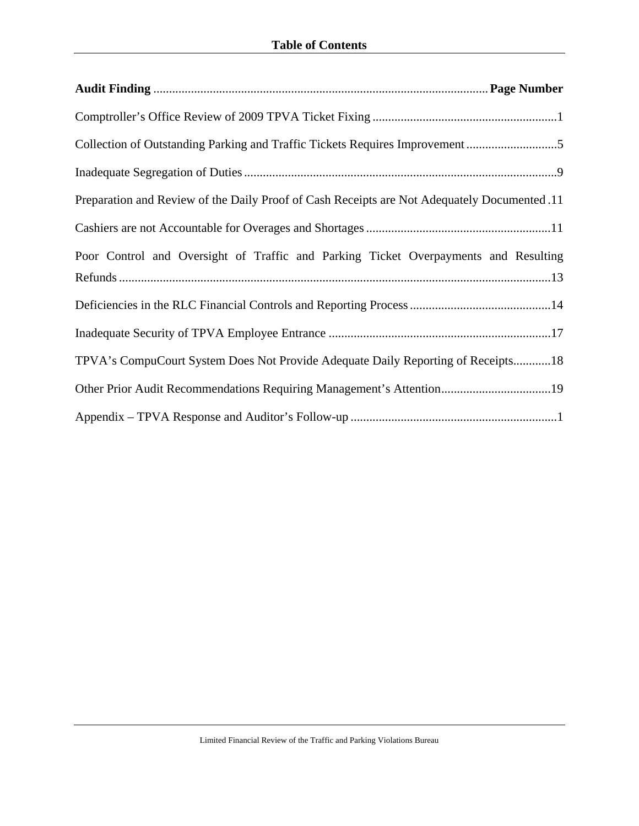| Preparation and Review of the Daily Proof of Cash Receipts are Not Adequately Documented .11 |
|----------------------------------------------------------------------------------------------|
|                                                                                              |
| Poor Control and Oversight of Traffic and Parking Ticket Overpayments and Resulting          |
|                                                                                              |
|                                                                                              |
| TPVA's CompuCourt System Does Not Provide Adequate Daily Reporting of Receipts18             |
|                                                                                              |
|                                                                                              |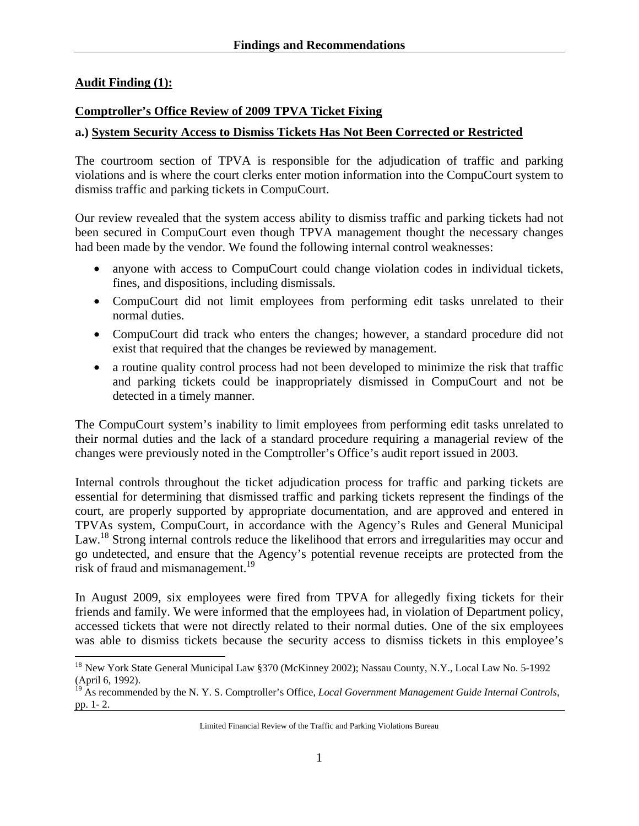#### **Audit Finding (1):**

 $\overline{a}$ 

#### **Comptroller's Office Review of 2009 TPVA Ticket Fixing**

#### **a.) System Security Access to Dismiss Tickets Has Not Been Corrected or Restricted**

The courtroom section of TPVA is responsible for the adjudication of traffic and parking violations and is where the court clerks enter motion information into the CompuCourt system to dismiss traffic and parking tickets in CompuCourt.

Our review revealed that the system access ability to dismiss traffic and parking tickets had not been secured in CompuCourt even though TPVA management thought the necessary changes had been made by the vendor. We found the following internal control weaknesses:

- anyone with access to CompuCourt could change violation codes in individual tickets, fines, and dispositions, including dismissals.
- CompuCourt did not limit employees from performing edit tasks unrelated to their normal duties.
- CompuCourt did track who enters the changes; however, a standard procedure did not exist that required that the changes be reviewed by management.
- a routine quality control process had not been developed to minimize the risk that traffic and parking tickets could be inappropriately dismissed in CompuCourt and not be detected in a timely manner.

The CompuCourt system's inability to limit employees from performing edit tasks unrelated to their normal duties and the lack of a standard procedure requiring a managerial review of the changes were previously noted in the Comptroller's Office's audit report issued in 2003.

Internal controls throughout the ticket adjudication process for traffic and parking tickets are essential for determining that dismissed traffic and parking tickets represent the findings of the court, are properly supported by appropriate documentation, and are approved and entered in TPVAs system, CompuCourt, in accordance with the Agency's Rules and General Municipal Law.<sup>18</sup> Strong internal controls reduce the likelihood that errors and irregularities may occur and go undetected, and ensure that the Agency's potential revenue receipts are protected from the risk of fraud and mismanagement.<sup>19</sup>

In August 2009, six employees were fired from TPVA for allegedly fixing tickets for their friends and family. We were informed that the employees had, in violation of Department policy, accessed tickets that were not directly related to their normal duties. One of the six employees was able to dismiss tickets because the security access to dismiss tickets in this employee's

<sup>&</sup>lt;sup>18</sup> New York State General Municipal Law §370 (McKinney 2002); Nassau County, N.Y., Local Law No. 5-1992 (April 6, 1992).

<sup>19</sup> As recommended by the N. Y. S. Comptroller's Office, *Local Government Management Guide Internal Controls*, pp. 1- 2.

Limited Financial Review of the Traffic and Parking Violations Bureau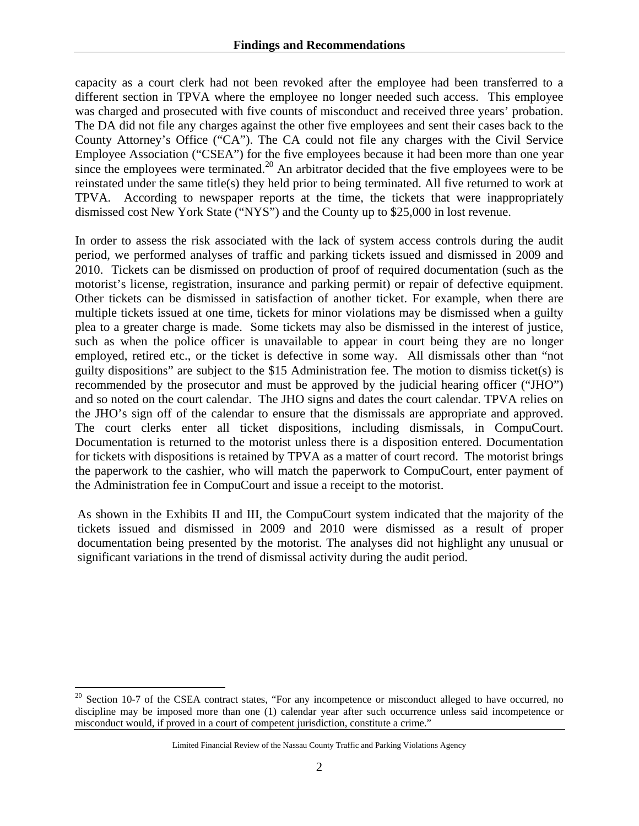capacity as a court clerk had not been revoked after the employee had been transferred to a different section in TPVA where the employee no longer needed such access. This employee was charged and prosecuted with five counts of misconduct and received three years' probation. The DA did not file any charges against the other five employees and sent their cases back to the County Attorney's Office ("CA"). The CA could not file any charges with the Civil Service Employee Association ("CSEA") for the five employees because it had been more than one year since the employees were terminated.<sup>20</sup> An arbitrator decided that the five employees were to be reinstated under the same title(s) they held prior to being terminated. All five returned to work at TPVA. According to newspaper reports at the time, the tickets that were inappropriately dismissed cost New York State ("NYS") and the County up to \$25,000 in lost revenue.

In order to assess the risk associated with the lack of system access controls during the audit period, we performed analyses of traffic and parking tickets issued and dismissed in 2009 and 2010. Tickets can be dismissed on production of proof of required documentation (such as the motorist's license, registration, insurance and parking permit) or repair of defective equipment. Other tickets can be dismissed in satisfaction of another ticket. For example, when there are multiple tickets issued at one time, tickets for minor violations may be dismissed when a guilty plea to a greater charge is made. Some tickets may also be dismissed in the interest of justice, such as when the police officer is unavailable to appear in court being they are no longer employed, retired etc., or the ticket is defective in some way. All dismissals other than "not guilty dispositions" are subject to the \$15 Administration fee. The motion to dismiss ticket(s) is recommended by the prosecutor and must be approved by the judicial hearing officer ("JHO") and so noted on the court calendar. The JHO signs and dates the court calendar. TPVA relies on the JHO's sign off of the calendar to ensure that the dismissals are appropriate and approved. The court clerks enter all ticket dispositions, including dismissals, in CompuCourt. Documentation is returned to the motorist unless there is a disposition entered. Documentation for tickets with dispositions is retained by TPVA as a matter of court record. The motorist brings the paperwork to the cashier, who will match the paperwork to CompuCourt, enter payment of the Administration fee in CompuCourt and issue a receipt to the motorist.

As shown in the Exhibits II and III, the CompuCourt system indicated that the majority of the tickets issued and dismissed in 2009 and 2010 were dismissed as a result of proper documentation being presented by the motorist. The analyses did not highlight any unusual or significant variations in the trend of dismissal activity during the audit period.

 $\overline{a}$ 

 $20$  Section 10-7 of the CSEA contract states, "For any incompetence or misconduct alleged to have occurred, no discipline may be imposed more than one (1) calendar year after such occurrence unless said incompetence or misconduct would, if proved in a court of competent jurisdiction, constitute a crime."

Limited Financial Review of the Nassau County Traffic and Parking Violations Agency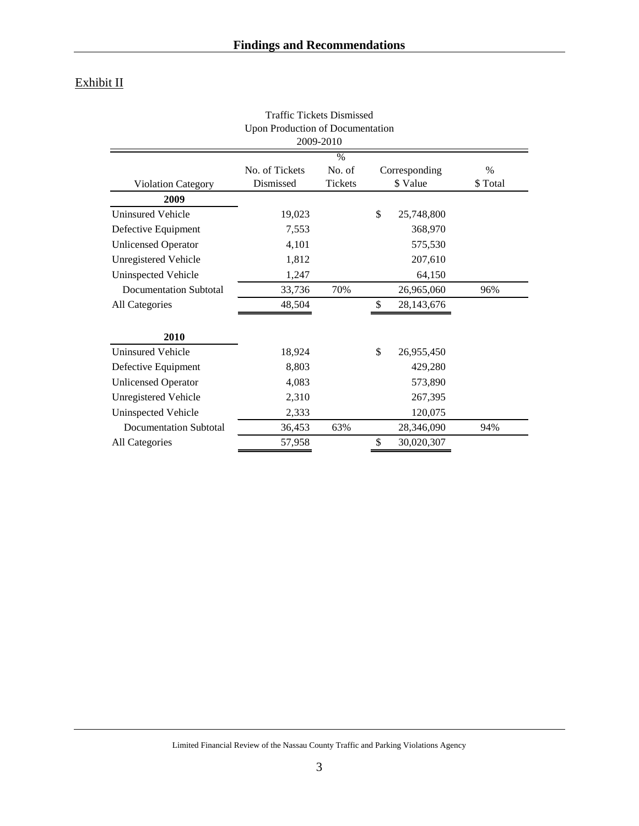# Exhibit II

|                               | <b>Upon Production of Documentation</b> | 2009-2010     |                  |         |
|-------------------------------|-----------------------------------------|---------------|------------------|---------|
|                               |                                         | $\frac{0}{6}$ |                  |         |
|                               | No. of Tickets                          | No. of        | Corresponding    | $\%$    |
| <b>Violation Category</b>     | Dismissed                               | Tickets       | \$ Value         | \$Total |
| 2009                          |                                         |               |                  |         |
| <b>Uninsured Vehicle</b>      | 19,023                                  |               | \$<br>25,748,800 |         |
| Defective Equipment           | 7,553                                   |               | 368,970          |         |
| <b>Unlicensed Operator</b>    | 4,101                                   |               | 575,530          |         |
| <b>Unregistered Vehicle</b>   | 1,812                                   |               | 207,610          |         |
| <b>Uninspected Vehicle</b>    | 1,247                                   |               | 64,150           |         |
| <b>Documentation Subtotal</b> | 33,736                                  | 70%           | 26,965,060       | 96%     |
| All Categories                | 48,504                                  |               | \$<br>28,143,676 |         |
| 2010                          |                                         |               |                  |         |
| <b>Uninsured Vehicle</b>      | 18,924                                  |               | \$<br>26,955,450 |         |
| Defective Equipment           | 8,803                                   |               | 429,280          |         |
| <b>Unlicensed Operator</b>    | 4,083                                   |               | 573,890          |         |
| <b>Unregistered Vehicle</b>   | 2,310                                   |               | 267,395          |         |
| <b>Uninspected Vehicle</b>    | 2,333                                   |               | 120,075          |         |
| <b>Documentation Subtotal</b> | 36,453                                  | 63%           | 28,346,090       | 94%     |
| <b>All Categories</b>         | 57,958                                  |               | \$<br>30,020,307 |         |

Traffic Tickets Dismissed

Limited Financial Review of the Nassau County Traffic and Parking Violations Agency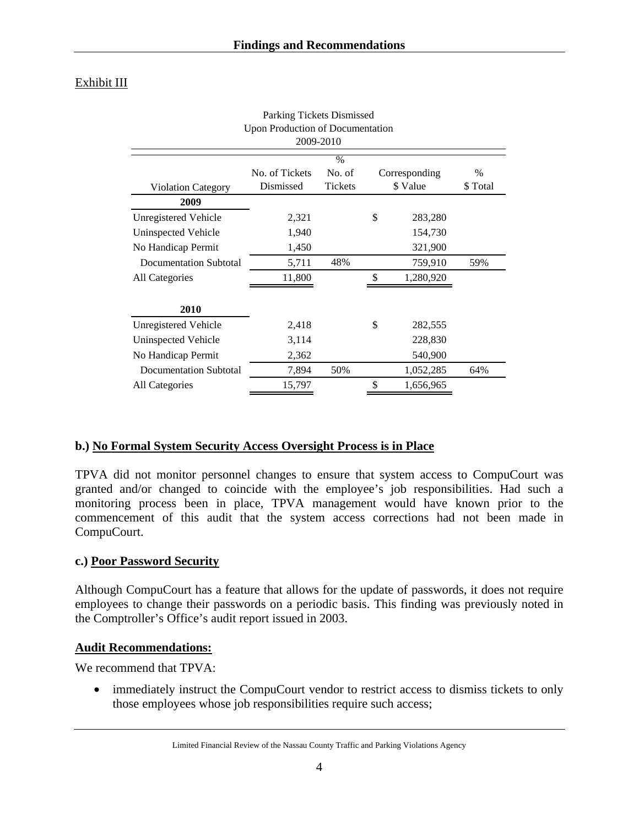# Exhibit III

|                                  | Parking Tickets Dismissed |                |    |               |               |  |  |  |  |
|----------------------------------|---------------------------|----------------|----|---------------|---------------|--|--|--|--|
| Upon Production of Documentation |                           |                |    |               |               |  |  |  |  |
|                                  |                           | 2009-2010      |    |               |               |  |  |  |  |
|                                  |                           | $\frac{0}{0}$  |    |               |               |  |  |  |  |
|                                  | No. of Tickets            | No. of         |    | Corresponding | $\frac{0}{0}$ |  |  |  |  |
| <b>Violation Category</b>        | Dismissed                 | <b>Tickets</b> |    | \$ Value      | \$Total       |  |  |  |  |
| 2009                             |                           |                |    |               |               |  |  |  |  |
| Unregistered Vehicle             | 2,321                     |                | \$ | 283,280       |               |  |  |  |  |
| Uninspected Vehicle              | 1,940                     |                |    | 154,730       |               |  |  |  |  |
| No Handicap Permit               | 1,450                     |                |    | 321,900       |               |  |  |  |  |
| Documentation Subtotal           | 5,711                     | 48%            |    | 759,910       | 59%           |  |  |  |  |
| All Categories                   | 11,800                    |                | \$ | 1,280,920     |               |  |  |  |  |
|                                  |                           |                |    |               |               |  |  |  |  |
| 2010                             |                           |                |    |               |               |  |  |  |  |
| <b>Unregistered Vehicle</b>      | 2,418                     |                | \$ | 282,555       |               |  |  |  |  |
| Uninspected Vehicle              | 3,114                     |                |    | 228,830       |               |  |  |  |  |
| No Handicap Permit               | 2,362                     |                |    | 540,900       |               |  |  |  |  |
| Documentation Subtotal           | 7,894                     | 50%            |    | 1,052,285     | 64%           |  |  |  |  |
| All Categories                   | 15,797                    |                | \$ | 1,656,965     |               |  |  |  |  |

### **b.) No Formal System Security Access Oversight Process is in Place**

TPVA did not monitor personnel changes to ensure that system access to CompuCourt was granted and/or changed to coincide with the employee's job responsibilities. Had such a monitoring process been in place, TPVA management would have known prior to the commencement of this audit that the system access corrections had not been made in CompuCourt.

### **c.) Poor Password Security**

Although CompuCourt has a feature that allows for the update of passwords, it does not require employees to change their passwords on a periodic basis. This finding was previously noted in the Comptroller's Office's audit report issued in 2003.

#### **Audit Recommendations:**

We recommend that TPVA:

• immediately instruct the CompuCourt vendor to restrict access to dismiss tickets to only those employees whose job responsibilities require such access;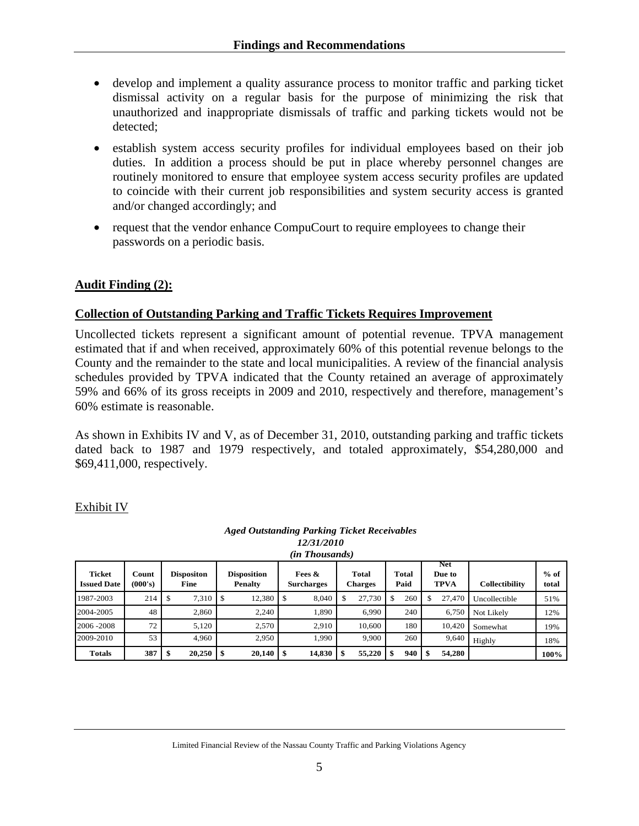- develop and implement a quality assurance process to monitor traffic and parking ticket dismissal activity on a regular basis for the purpose of minimizing the risk that unauthorized and inappropriate dismissals of traffic and parking tickets would not be detected;
- establish system access security profiles for individual employees based on their job duties. In addition a process should be put in place whereby personnel changes are routinely monitored to ensure that employee system access security profiles are updated to coincide with their current job responsibilities and system security access is granted and/or changed accordingly; and
- request that the vendor enhance CompuCourt to require employees to change their passwords on a periodic basis.

### **Audit Finding (2):**

### **Collection of Outstanding Parking and Traffic Tickets Requires Improvement**

Uncollected tickets represent a significant amount of potential revenue. TPVA management estimated that if and when received, approximately 60% of this potential revenue belongs to the County and the remainder to the state and local municipalities. A review of the financial analysis schedules provided by TPVA indicated that the County retained an average of approximately 59% and 66% of its gross receipts in 2009 and 2010, respectively and therefore, management's 60% estimate is reasonable.

As shown in Exhibits IV and V, as of December 31, 2010, outstanding parking and traffic tickets dated back to 1987 and 1979 respectively, and totaled approximately, \$54,280,000 and \$69,411,000, respectively.

#### Exhibit IV

#### *Aged Outstanding Parking Ticket Receivables 12/31/2010*

| ---------             |
|-----------------------|
| <i>(in Thousands)</i> |

| <b>Ticket</b><br><b>Issued Date</b> | Count<br>(000's) | <b>Dispositon</b><br>Fine | <b>Disposition</b><br><b>Penalty</b> | Fees $\&$<br><b>Surcharges</b> | <b>Total</b><br><b>Charges</b> | <b>Total</b><br>Paid | <b>Net</b><br>Due to<br><b>TPVA</b> | Collectibility | $%$ of<br>total |
|-------------------------------------|------------------|---------------------------|--------------------------------------|--------------------------------|--------------------------------|----------------------|-------------------------------------|----------------|-----------------|
| 1987-2003                           | 214              | 7.310                     | 12.380<br>-S                         | 8.040                          | 27.730                         | 260                  | 27,470                              | Uncollectible  | 51%             |
| 2004-2005                           | 48               | 2.860                     | 2.240                                | .890                           | 6.990                          | 240                  | 6.750                               | Not Likely     | 12%             |
| 2006 - 2008                         | 72               | 5.120                     | 2.570                                | 2.910                          | 10,600                         | 180                  | 10.420                              | Somewhat       | 19%             |
| 2009-2010                           | 53               | 4.960                     | 2.950                                | 1.990                          | 9,900                          | 260                  | 9.640                               | Highly         | 18%             |
| <b>Totals</b>                       | 387              | 20,250                    | 20,140                               | 14,830<br>l \$                 | 55,220<br>\$                   | 940                  | 54.280<br>-8                        |                | 100%            |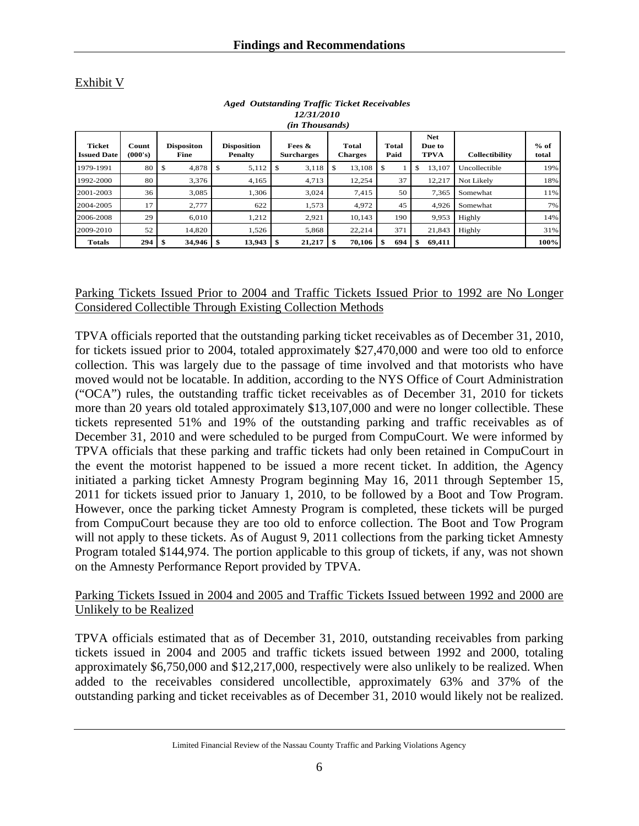Exhibit V

| <i>(in Thousands)</i>               |                  |                           |                                      |                             |                         |               |                                     |                       |                 |  |
|-------------------------------------|------------------|---------------------------|--------------------------------------|-----------------------------|-------------------------|---------------|-------------------------------------|-----------------------|-----------------|--|
| <b>Ticket</b><br><b>Issued Date</b> | Count<br>(000's) | <b>Dispositon</b><br>Fine | <b>Disposition</b><br><b>Penalty</b> | Fees &<br><b>Surcharges</b> | Total<br><b>Charges</b> | Total<br>Paid | <b>Net</b><br>Due to<br><b>TPVA</b> | <b>Collectibility</b> | $%$ of<br>total |  |
| 1979-1991                           | 80               | 4,878                     | 5,112<br>£.                          | 3,118<br>\$                 | 13,108                  | \$            | 13,107<br>\$                        | Uncollectible         | 19%             |  |
| 1992-2000                           | 80               | 3,376                     | 4,165                                | 4,713                       | 12,254                  | 37            | 12,217                              | Not Likely            | 18%             |  |
| 2001-2003                           | 36               | 3,085                     | 1.306                                | 3.024                       | 7.415                   | 50            | 7.365                               | Somewhat              | 11%             |  |
| 2004-2005                           | 17               | 2,777                     | 622                                  | 1,573                       | 4,972                   | 45            | 4,926                               | Somewhat              | 7%              |  |
| 2006-2008                           | 29               | 6.010                     | 1.212                                | 2,921                       | 10.143                  | 190           | 9,953                               | Highly                | 14%             |  |
| 2009-2010                           | 52               | 14,820                    | 1.526                                | 5.868                       | 22.214                  | 371           | 21.843                              | Highly                | 31%             |  |
| <b>Totals</b>                       | 294              | 34,946                    | 13,943<br>\$                         | 21,217                      | 70,106                  | \$<br>694     | 69,411<br>\$                        |                       | 100%            |  |

*Aged Outstanding Traffic Ticket Receivables 12/31/2010* 

Parking Tickets Issued Prior to 2004 and Traffic Tickets Issued Prior to 1992 are No Longer Considered Collectible Through Existing Collection Methods

TPVA officials reported that the outstanding parking ticket receivables as of December 31, 2010, for tickets issued prior to 2004, totaled approximately \$27,470,000 and were too old to enforce collection. This was largely due to the passage of time involved and that motorists who have moved would not be locatable. In addition, according to the NYS Office of Court Administration ("OCA") rules, the outstanding traffic ticket receivables as of December 31, 2010 for tickets more than 20 years old totaled approximately \$13,107,000 and were no longer collectible. These tickets represented 51% and 19% of the outstanding parking and traffic receivables as of December 31, 2010 and were scheduled to be purged from CompuCourt. We were informed by TPVA officials that these parking and traffic tickets had only been retained in CompuCourt in the event the motorist happened to be issued a more recent ticket. In addition, the Agency initiated a parking ticket Amnesty Program beginning May 16, 2011 through September 15, 2011 for tickets issued prior to January 1, 2010, to be followed by a Boot and Tow Program. However, once the parking ticket Amnesty Program is completed, these tickets will be purged from CompuCourt because they are too old to enforce collection. The Boot and Tow Program will not apply to these tickets. As of August 9, 2011 collections from the parking ticket Amnesty Program totaled \$144,974. The portion applicable to this group of tickets, if any, was not shown on the Amnesty Performance Report provided by TPVA.

#### Parking Tickets Issued in 2004 and 2005 and Traffic Tickets Issued between 1992 and 2000 are Unlikely to be Realized

TPVA officials estimated that as of December 31, 2010, outstanding receivables from parking tickets issued in 2004 and 2005 and traffic tickets issued between 1992 and 2000, totaling approximately \$6,750,000 and \$12,217,000, respectively were also unlikely to be realized. When added to the receivables considered uncollectible, approximately 63% and 37% of the outstanding parking and ticket receivables as of December 31, 2010 would likely not be realized.

Limited Financial Review of the Nassau County Traffic and Parking Violations Agency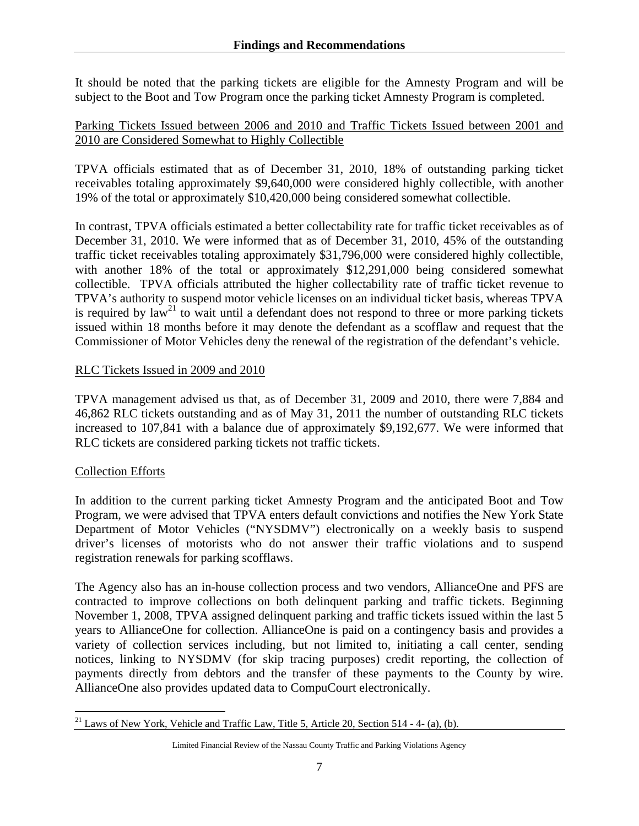It should be noted that the parking tickets are eligible for the Amnesty Program and will be subject to the Boot and Tow Program once the parking ticket Amnesty Program is completed.

#### Parking Tickets Issued between 2006 and 2010 and Traffic Tickets Issued between 2001 and 2010 are Considered Somewhat to Highly Collectible

TPVA officials estimated that as of December 31, 2010, 18% of outstanding parking ticket receivables totaling approximately \$9,640,000 were considered highly collectible, with another 19% of the total or approximately \$10,420,000 being considered somewhat collectible.

In contrast, TPVA officials estimated a better collectability rate for traffic ticket receivables as of December 31, 2010. We were informed that as of December 31, 2010, 45% of the outstanding traffic ticket receivables totaling approximately \$31,796,000 were considered highly collectible, with another 18% of the total or approximately \$12,291,000 being considered somewhat collectible. TPVA officials attributed the higher collectability rate of traffic ticket revenue to TPVA's authority to suspend motor vehicle licenses on an individual ticket basis, whereas TPVA is required by  $law<sup>21</sup>$  to wait until a defendant does not respond to three or more parking tickets issued within 18 months before it may denote the defendant as a scofflaw and request that the Commissioner of Motor Vehicles deny the renewal of the registration of the defendant's vehicle.

#### RLC Tickets Issued in 2009 and 2010

TPVA management advised us that, as of December 31, 2009 and 2010, there were 7,884 and 46,862 RLC tickets outstanding and as of May 31, 2011 the number of outstanding RLC tickets increased to 107,841 with a balance due of approximately \$9,192,677. We were informed that RLC tickets are considered parking tickets not traffic tickets.

### Collection Efforts

In addition to the current parking ticket Amnesty Program and the anticipated Boot and Tow Program, we were advised that TPVA enters default convictions and notifies the New York State Department of Motor Vehicles ("NYSDMV") electronically on a weekly basis to suspend driver's licenses of motorists who do not answer their traffic violations and to suspend registration renewals for parking scofflaws.

The Agency also has an in-house collection process and two vendors, AllianceOne and PFS are contracted to improve collections on both delinquent parking and traffic tickets. Beginning November 1, 2008, TPVA assigned delinquent parking and traffic tickets issued within the last 5 years to AllianceOne for collection. AllianceOne is paid on a contingency basis and provides a variety of collection services including, but not limited to, initiating a call center, sending notices, linking to NYSDMV (for skip tracing purposes) credit reporting, the collection of payments directly from debtors and the transfer of these payments to the County by wire. AllianceOne also provides updated data to CompuCourt electronically.

 $\overline{a}$  $21$  Laws of New York, Vehicle and Traffic Law, Title 5, Article 20, Section 514 - 4- (a), (b).

Limited Financial Review of the Nassau County Traffic and Parking Violations Agency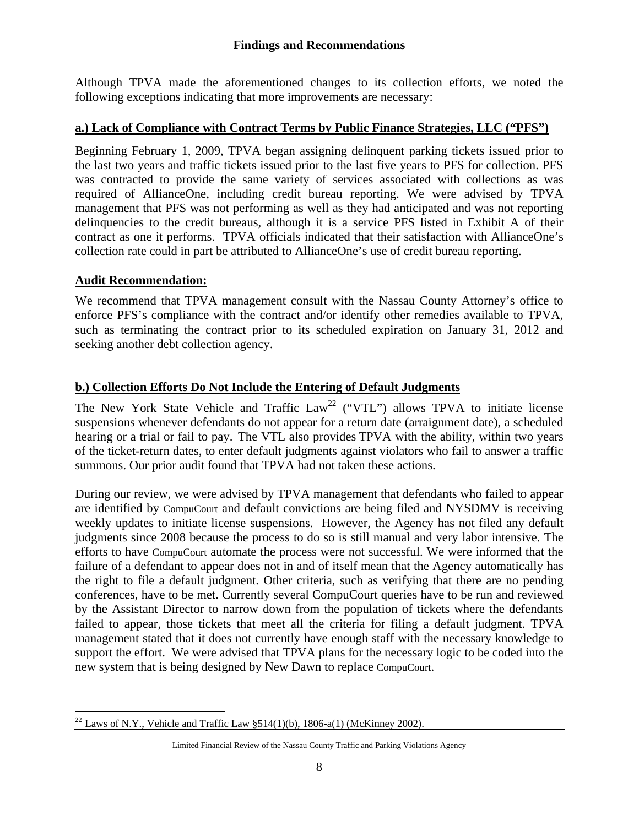Although TPVA made the aforementioned changes to its collection efforts, we noted the following exceptions indicating that more improvements are necessary:

#### **a.) Lack of Compliance with Contract Terms by Public Finance Strategies, LLC ("PFS")**

Beginning February 1, 2009, TPVA began assigning delinquent parking tickets issued prior to the last two years and traffic tickets issued prior to the last five years to PFS for collection. PFS was contracted to provide the same variety of services associated with collections as was required of AllianceOne, including credit bureau reporting. We were advised by TPVA management that PFS was not performing as well as they had anticipated and was not reporting delinquencies to the credit bureaus, although it is a service PFS listed in Exhibit A of their contract as one it performs. TPVA officials indicated that their satisfaction with AllianceOne's collection rate could in part be attributed to AllianceOne's use of credit bureau reporting.

#### **Audit Recommendation:**

We recommend that TPVA management consult with the Nassau County Attorney's office to enforce PFS's compliance with the contract and/or identify other remedies available to TPVA, such as terminating the contract prior to its scheduled expiration on January 31, 2012 and seeking another debt collection agency.

#### **b.) Collection Efforts Do Not Include the Entering of Default Judgments**

The New York State Vehicle and Traffic  $Law^{22}$  ("VTL") allows TPVA to initiate license suspensions whenever defendants do not appear for a return date (arraignment date), a scheduled hearing or a trial or fail to pay. The VTL also provides TPVA with the ability, within two years of the ticket-return dates, to enter default judgments against violators who fail to answer a traffic summons. Our prior audit found that TPVA had not taken these actions.

During our review, we were advised by TPVA management that defendants who failed to appear are identified by CompuCourt and default convictions are being filed and NYSDMV is receiving weekly updates to initiate license suspensions. However, the Agency has not filed any default judgments since 2008 because the process to do so is still manual and very labor intensive. The efforts to have CompuCourt automate the process were not successful. We were informed that the failure of a defendant to appear does not in and of itself mean that the Agency automatically has the right to file a default judgment. Other criteria, such as verifying that there are no pending conferences, have to be met. Currently several CompuCourt queries have to be run and reviewed by the Assistant Director to narrow down from the population of tickets where the defendants failed to appear, those tickets that meet all the criteria for filing a default judgment. TPVA management stated that it does not currently have enough staff with the necessary knowledge to support the effort. We were advised that TPVA plans for the necessary logic to be coded into the new system that is being designed by New Dawn to replace CompuCourt.

 $\overline{a}$ <sup>22</sup> Laws of N.Y., Vehicle and Traffic Law  $\S 514(1)(b)$ , 1806-a(1) (McKinney 2002).

Limited Financial Review of the Nassau County Traffic and Parking Violations Agency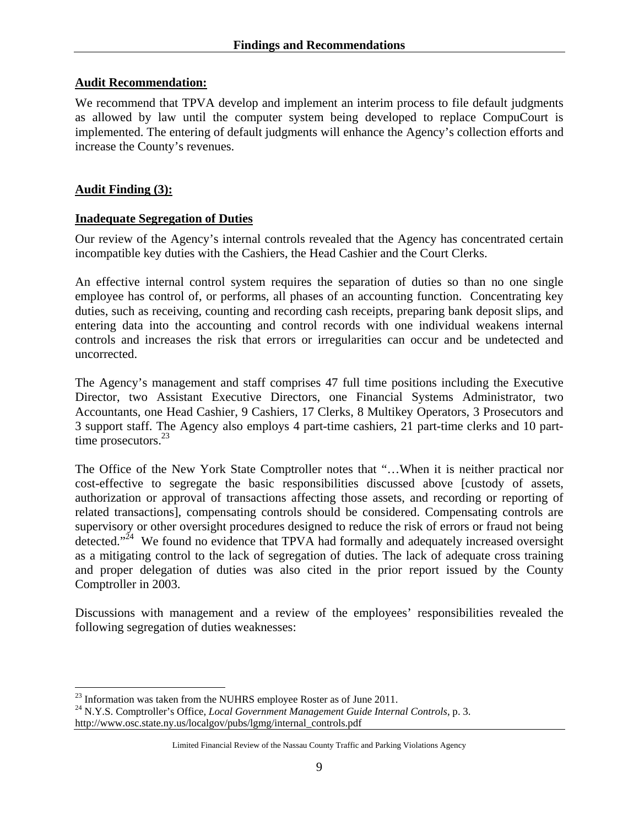#### **Audit Recommendation:**

We recommend that TPVA develop and implement an interim process to file default judgments as allowed by law until the computer system being developed to replace CompuCourt is implemented. The entering of default judgments will enhance the Agency's collection efforts and increase the County's revenues.

#### **Audit Finding (3):**

1

#### **Inadequate Segregation of Duties**

Our review of the Agency's internal controls revealed that the Agency has concentrated certain incompatible key duties with the Cashiers, the Head Cashier and the Court Clerks.

An effective internal control system requires the separation of duties so than no one single employee has control of, or performs, all phases of an accounting function. Concentrating key duties, such as receiving, counting and recording cash receipts, preparing bank deposit slips, and entering data into the accounting and control records with one individual weakens internal controls and increases the risk that errors or irregularities can occur and be undetected and uncorrected.

The Agency's management and staff comprises 47 full time positions including the Executive Director, two Assistant Executive Directors, one Financial Systems Administrator, two Accountants, one Head Cashier, 9 Cashiers, 17 Clerks, 8 Multikey Operators, 3 Prosecutors and 3 support staff. The Agency also employs 4 part-time cashiers, 21 part-time clerks and 10 parttime prosecutors. $^{23}$ 

The Office of the New York State Comptroller notes that "…When it is neither practical nor cost-effective to segregate the basic responsibilities discussed above [custody of assets, authorization or approval of transactions affecting those assets, and recording or reporting of related transactions], compensating controls should be considered. Compensating controls are supervisory or other oversight procedures designed to reduce the risk of errors or fraud not being detected."<sup>24</sup> We found no evidence that TPVA had formally and adequately increased oversight as a mitigating control to the lack of segregation of duties. The lack of adequate cross training and proper delegation of duties was also cited in the prior report issued by the County Comptroller in 2003.

Discussions with management and a review of the employees' responsibilities revealed the following segregation of duties weaknesses:

<sup>&</sup>lt;sup>23</sup> Information was taken from the NUHRS employee Roster as of June 2011.<br><sup>24</sup> N.Y.S. Comptroller's Office, *Local Government Management Guide Internal Controls*, p. 3. http://www.osc.state.ny.us/localgov/pubs/lgmg/internal\_controls.pdf

Limited Financial Review of the Nassau County Traffic and Parking Violations Agency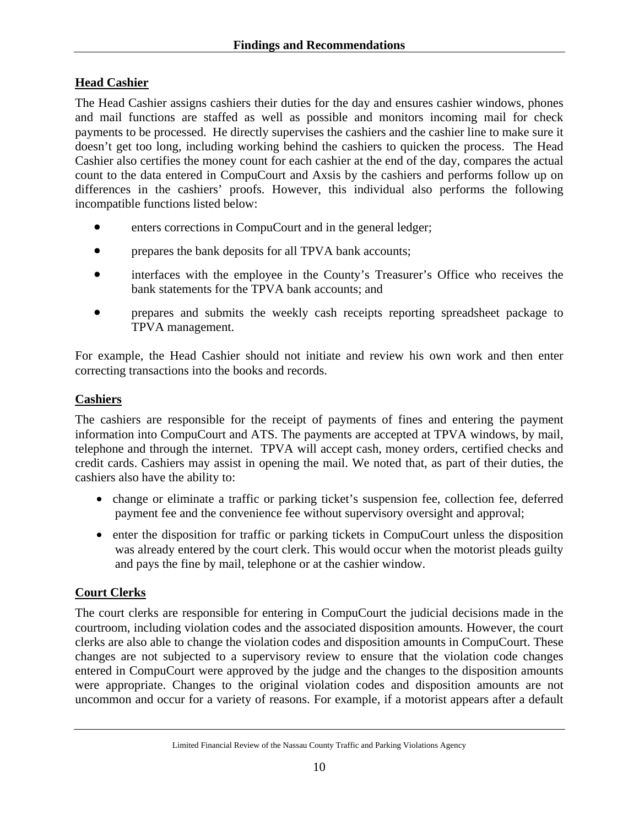# **Head Cashier**

The Head Cashier assigns cashiers their duties for the day and ensures cashier windows, phones and mail functions are staffed as well as possible and monitors incoming mail for check payments to be processed. He directly supervises the cashiers and the cashier line to make sure it doesn't get too long, including working behind the cashiers to quicken the process. The Head Cashier also certifies the money count for each cashier at the end of the day, compares the actual count to the data entered in CompuCourt and Axsis by the cashiers and performs follow up on differences in the cashiers' proofs. However, this individual also performs the following incompatible functions listed below:

- enters corrections in CompuCourt and in the general ledger;
- prepares the bank deposits for all TPVA bank accounts;
- interfaces with the employee in the County's Treasurer's Office who receives the bank statements for the TPVA bank accounts; and
- prepares and submits the weekly cash receipts reporting spreadsheet package to TPVA management.

For example, the Head Cashier should not initiate and review his own work and then enter correcting transactions into the books and records.

### **Cashiers**

The cashiers are responsible for the receipt of payments of fines and entering the payment information into CompuCourt and ATS. The payments are accepted at TPVA windows, by mail, telephone and through the internet. TPVA will accept cash, money orders, certified checks and credit cards. Cashiers may assist in opening the mail. We noted that, as part of their duties, the cashiers also have the ability to:

- change or eliminate a traffic or parking ticket's suspension fee, collection fee, deferred payment fee and the convenience fee without supervisory oversight and approval;
- enter the disposition for traffic or parking tickets in CompuCourt unless the disposition was already entered by the court clerk. This would occur when the motorist pleads guilty and pays the fine by mail, telephone or at the cashier window.

### **Court Clerks**

The court clerks are responsible for entering in CompuCourt the judicial decisions made in the courtroom, including violation codes and the associated disposition amounts. However, the court clerks are also able to change the violation codes and disposition amounts in CompuCourt. These changes are not subjected to a supervisory review to ensure that the violation code changes entered in CompuCourt were approved by the judge and the changes to the disposition amounts were appropriate. Changes to the original violation codes and disposition amounts are not uncommon and occur for a variety of reasons. For example, if a motorist appears after a default

Limited Financial Review of the Nassau County Traffic and Parking Violations Agency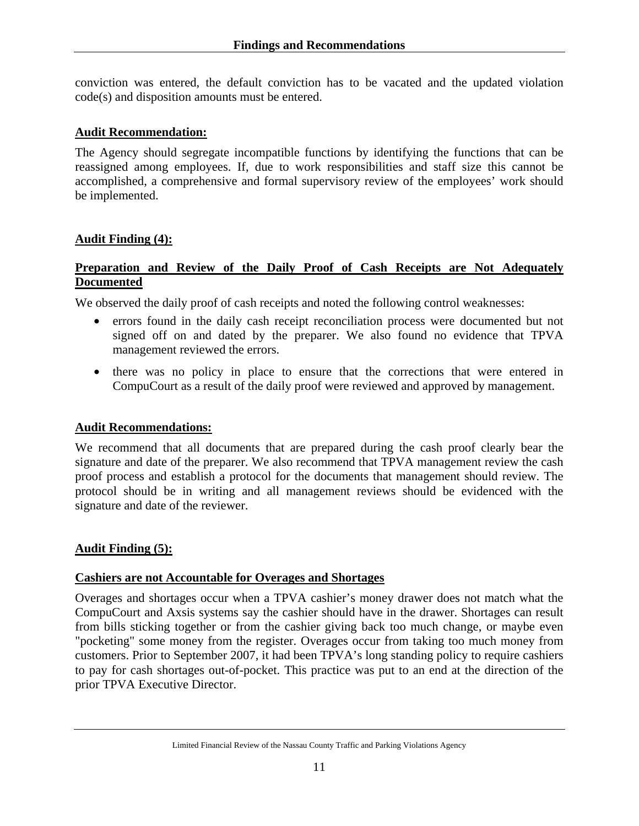conviction was entered, the default conviction has to be vacated and the updated violation code(s) and disposition amounts must be entered.

#### **Audit Recommendation:**

The Agency should segregate incompatible functions by identifying the functions that can be reassigned among employees. If, due to work responsibilities and staff size this cannot be accomplished, a comprehensive and formal supervisory review of the employees' work should be implemented.

#### **Audit Finding (4):**

#### **Preparation and Review of the Daily Proof of Cash Receipts are Not Adequately Documented**

We observed the daily proof of cash receipts and noted the following control weaknesses:

- errors found in the daily cash receipt reconciliation process were documented but not signed off on and dated by the preparer. We also found no evidence that TPVA management reviewed the errors.
- there was no policy in place to ensure that the corrections that were entered in CompuCourt as a result of the daily proof were reviewed and approved by management.

#### **Audit Recommendations:**

We recommend that all documents that are prepared during the cash proof clearly bear the signature and date of the preparer. We also recommend that TPVA management review the cash proof process and establish a protocol for the documents that management should review. The protocol should be in writing and all management reviews should be evidenced with the signature and date of the reviewer.

#### **Audit Finding (5):**

#### **Cashiers are not Accountable for Overages and Shortages**

Overages and shortages occur when a TPVA cashier's money drawer does not match what the CompuCourt and Axsis systems say the cashier should have in the drawer. Shortages can result from bills sticking together or from the cashier giving back too much change, or maybe even "pocketing" some money from the register. Overages occur from taking too much money from customers. Prior to September 2007, it had been TPVA's long standing policy to require cashiers to pay for cash shortages out-of-pocket. This practice was put to an end at the direction of the prior TPVA Executive Director.

Limited Financial Review of the Nassau County Traffic and Parking Violations Agency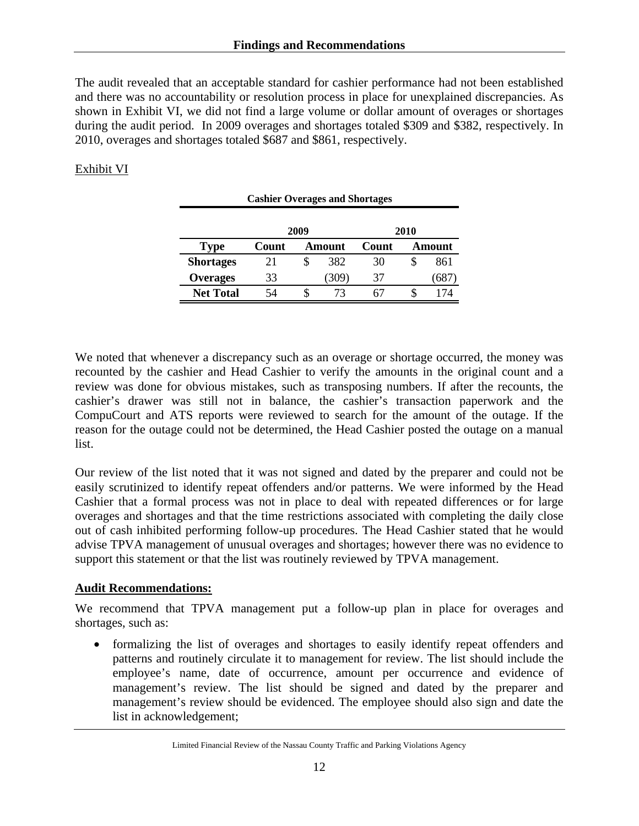The audit revealed that an acceptable standard for cashier performance had not been established and there was no accountability or resolution process in place for unexplained discrepancies. As shown in Exhibit VI, we did not find a large volume or dollar amount of overages or shortages during the audit period. In 2009 overages and shortages totaled \$309 and \$382, respectively. In 2010, overages and shortages totaled \$687 and \$861, respectively.

### Exhibit VI

| <b>Cashier Overages and Shortages</b> |       |        |      |       |   |        |  |  |  |  |
|---------------------------------------|-------|--------|------|-------|---|--------|--|--|--|--|
| 2009<br>2010                          |       |        |      |       |   |        |  |  |  |  |
| <b>Type</b>                           | Count | Amount |      | Count |   | Amount |  |  |  |  |
| <b>Shortages</b>                      | 21    | S      | 382  | 30    | S | 861    |  |  |  |  |
| <b>Overages</b>                       | 33    |        | 309) | 37    |   | (687)  |  |  |  |  |
| <b>Net Total</b>                      | 54    |        | 73   |       |   | 174    |  |  |  |  |

We noted that whenever a discrepancy such as an overage or shortage occurred, the money was recounted by the cashier and Head Cashier to verify the amounts in the original count and a review was done for obvious mistakes, such as transposing numbers. If after the recounts, the cashier's drawer was still not in balance, the cashier's transaction paperwork and the CompuCourt and ATS reports were reviewed to search for the amount of the outage. If the reason for the outage could not be determined, the Head Cashier posted the outage on a manual list.

Our review of the list noted that it was not signed and dated by the preparer and could not be easily scrutinized to identify repeat offenders and/or patterns. We were informed by the Head Cashier that a formal process was not in place to deal with repeated differences or for large overages and shortages and that the time restrictions associated with completing the daily close out of cash inhibited performing follow-up procedures. The Head Cashier stated that he would advise TPVA management of unusual overages and shortages; however there was no evidence to support this statement or that the list was routinely reviewed by TPVA management.

### **Audit Recommendations:**

We recommend that TPVA management put a follow-up plan in place for overages and shortages, such as:

• formalizing the list of overages and shortages to easily identify repeat offenders and patterns and routinely circulate it to management for review. The list should include the employee's name, date of occurrence, amount per occurrence and evidence of management's review. The list should be signed and dated by the preparer and management's review should be evidenced. The employee should also sign and date the list in acknowledgement;

Limited Financial Review of the Nassau County Traffic and Parking Violations Agency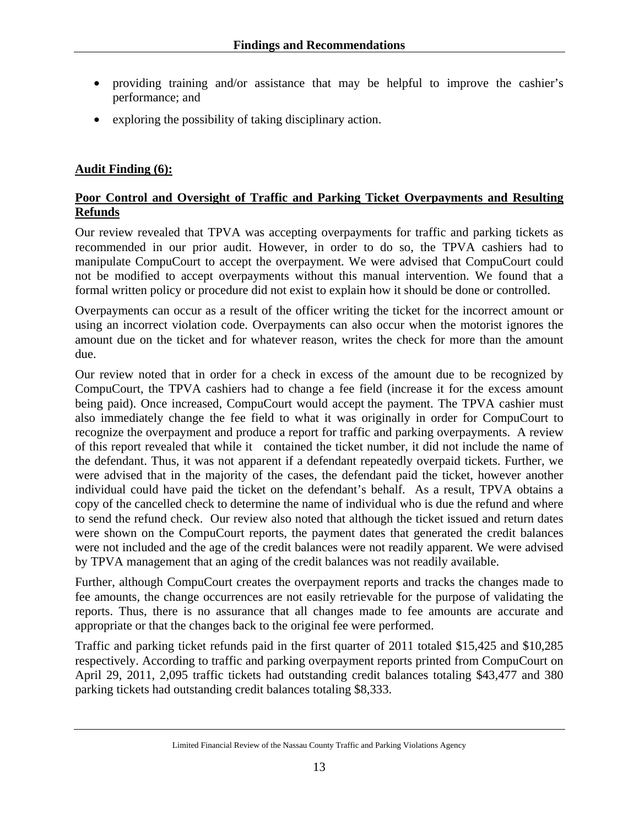- providing training and/or assistance that may be helpful to improve the cashier's performance; and
- exploring the possibility of taking disciplinary action.

### **Audit Finding (6):**

### **Poor Control and Oversight of Traffic and Parking Ticket Overpayments and Resulting Refunds**

Our review revealed that TPVA was accepting overpayments for traffic and parking tickets as recommended in our prior audit. However, in order to do so, the TPVA cashiers had to manipulate CompuCourt to accept the overpayment. We were advised that CompuCourt could not be modified to accept overpayments without this manual intervention. We found that a formal written policy or procedure did not exist to explain how it should be done or controlled.

Overpayments can occur as a result of the officer writing the ticket for the incorrect amount or using an incorrect violation code. Overpayments can also occur when the motorist ignores the amount due on the ticket and for whatever reason, writes the check for more than the amount due.

Our review noted that in order for a check in excess of the amount due to be recognized by CompuCourt, the TPVA cashiers had to change a fee field (increase it for the excess amount being paid). Once increased, CompuCourt would accept the payment. The TPVA cashier must also immediately change the fee field to what it was originally in order for CompuCourt to recognize the overpayment and produce a report for traffic and parking overpayments. A review of this report revealed that while it contained the ticket number, it did not include the name of the defendant. Thus, it was not apparent if a defendant repeatedly overpaid tickets. Further, we were advised that in the majority of the cases, the defendant paid the ticket, however another individual could have paid the ticket on the defendant's behalf. As a result, TPVA obtains a copy of the cancelled check to determine the name of individual who is due the refund and where to send the refund check. Our review also noted that although the ticket issued and return dates were shown on the CompuCourt reports, the payment dates that generated the credit balances were not included and the age of the credit balances were not readily apparent. We were advised by TPVA management that an aging of the credit balances was not readily available.

Further, although CompuCourt creates the overpayment reports and tracks the changes made to fee amounts, the change occurrences are not easily retrievable for the purpose of validating the reports. Thus, there is no assurance that all changes made to fee amounts are accurate and appropriate or that the changes back to the original fee were performed.

Traffic and parking ticket refunds paid in the first quarter of 2011 totaled \$15,425 and \$10,285 respectively. According to traffic and parking overpayment reports printed from CompuCourt on April 29, 2011, 2,095 traffic tickets had outstanding credit balances totaling \$43,477 and 380 parking tickets had outstanding credit balances totaling \$8,333.

Limited Financial Review of the Nassau County Traffic and Parking Violations Agency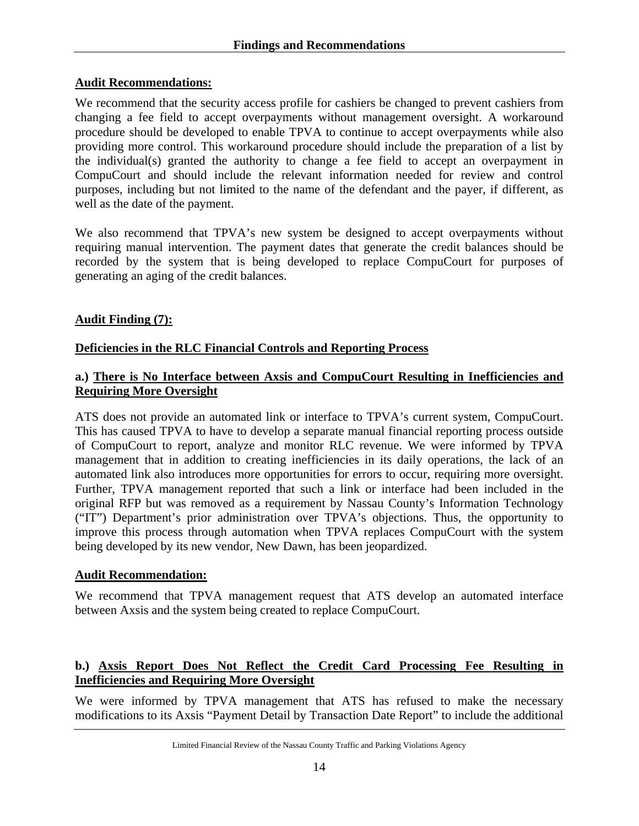#### **Audit Recommendations:**

We recommend that the security access profile for cashiers be changed to prevent cashiers from changing a fee field to accept overpayments without management oversight. A workaround procedure should be developed to enable TPVA to continue to accept overpayments while also providing more control. This workaround procedure should include the preparation of a list by the individual(s) granted the authority to change a fee field to accept an overpayment in CompuCourt and should include the relevant information needed for review and control purposes, including but not limited to the name of the defendant and the payer, if different, as well as the date of the payment.

We also recommend that TPVA's new system be designed to accept overpayments without requiring manual intervention. The payment dates that generate the credit balances should be recorded by the system that is being developed to replace CompuCourt for purposes of generating an aging of the credit balances.

### **Audit Finding (7):**

### **Deficiencies in the RLC Financial Controls and Reporting Process**

#### **a.) There is No Interface between Axsis and CompuCourt Resulting in Inefficiencies and Requiring More Oversight**

ATS does not provide an automated link or interface to TPVA's current system, CompuCourt. This has caused TPVA to have to develop a separate manual financial reporting process outside of CompuCourt to report, analyze and monitor RLC revenue. We were informed by TPVA management that in addition to creating inefficiencies in its daily operations, the lack of an automated link also introduces more opportunities for errors to occur, requiring more oversight. Further, TPVA management reported that such a link or interface had been included in the original RFP but was removed as a requirement by Nassau County's Information Technology ("IT") Department's prior administration over TPVA's objections. Thus, the opportunity to improve this process through automation when TPVA replaces CompuCourt with the system being developed by its new vendor, New Dawn, has been jeopardized.

#### **Audit Recommendation:**

We recommend that TPVA management request that ATS develop an automated interface between Axsis and the system being created to replace CompuCourt.

### **b.) Axsis Report Does Not Reflect the Credit Card Processing Fee Resulting in Inefficiencies and Requiring More Oversight**

We were informed by TPVA management that ATS has refused to make the necessary modifications to its Axsis "Payment Detail by Transaction Date Report" to include the additional

Limited Financial Review of the Nassau County Traffic and Parking Violations Agency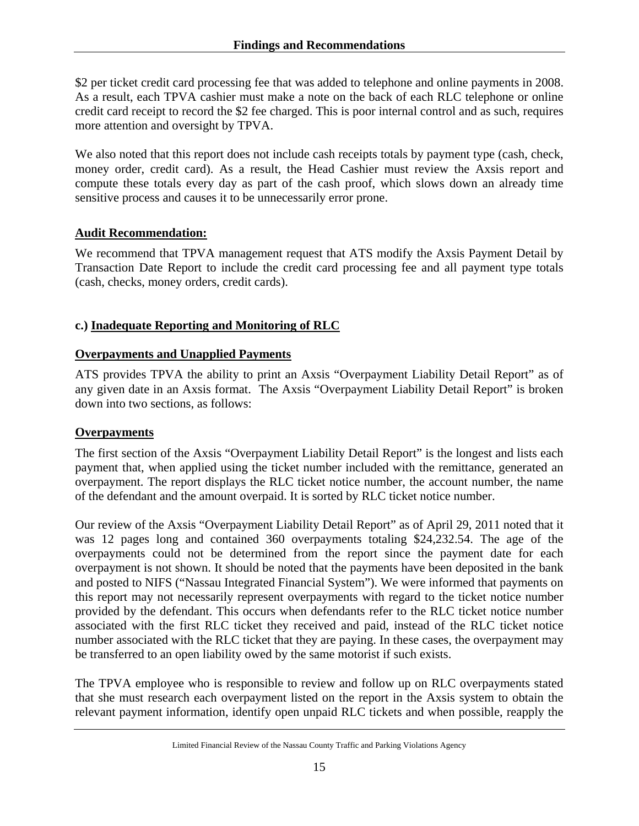\$2 per ticket credit card processing fee that was added to telephone and online payments in 2008. As a result, each TPVA cashier must make a note on the back of each RLC telephone or online credit card receipt to record the \$2 fee charged. This is poor internal control and as such, requires more attention and oversight by TPVA.

We also noted that this report does not include cash receipts totals by payment type (cash, check, money order, credit card). As a result, the Head Cashier must review the Axsis report and compute these totals every day as part of the cash proof, which slows down an already time sensitive process and causes it to be unnecessarily error prone.

### **Audit Recommendation:**

We recommend that TPVA management request that ATS modify the Axsis Payment Detail by Transaction Date Report to include the credit card processing fee and all payment type totals (cash, checks, money orders, credit cards).

### **c.) Inadequate Reporting and Monitoring of RLC**

#### **Overpayments and Unapplied Payments**

ATS provides TPVA the ability to print an Axsis "Overpayment Liability Detail Report" as of any given date in an Axsis format. The Axsis "Overpayment Liability Detail Report" is broken down into two sections, as follows:

### **Overpayments**

The first section of the Axsis "Overpayment Liability Detail Report" is the longest and lists each payment that, when applied using the ticket number included with the remittance, generated an overpayment. The report displays the RLC ticket notice number, the account number, the name of the defendant and the amount overpaid. It is sorted by RLC ticket notice number.

Our review of the Axsis "Overpayment Liability Detail Report" as of April 29, 2011 noted that it was 12 pages long and contained 360 overpayments totaling \$24,232.54. The age of the overpayments could not be determined from the report since the payment date for each overpayment is not shown. It should be noted that the payments have been deposited in the bank and posted to NIFS ("Nassau Integrated Financial System"). We were informed that payments on this report may not necessarily represent overpayments with regard to the ticket notice number provided by the defendant. This occurs when defendants refer to the RLC ticket notice number associated with the first RLC ticket they received and paid, instead of the RLC ticket notice number associated with the RLC ticket that they are paying. In these cases, the overpayment may be transferred to an open liability owed by the same motorist if such exists.

The TPVA employee who is responsible to review and follow up on RLC overpayments stated that she must research each overpayment listed on the report in the Axsis system to obtain the relevant payment information, identify open unpaid RLC tickets and when possible, reapply the

Limited Financial Review of the Nassau County Traffic and Parking Violations Agency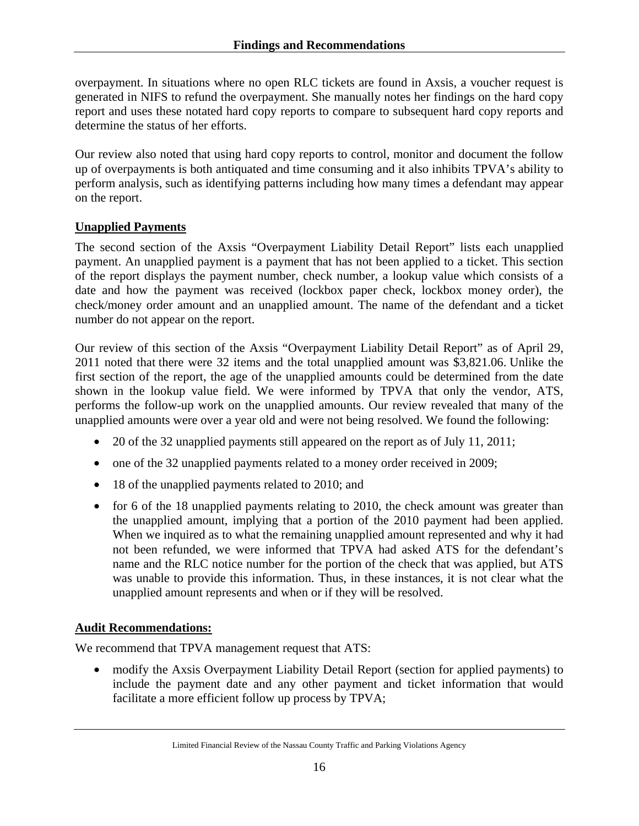overpayment. In situations where no open RLC tickets are found in Axsis, a voucher request is generated in NIFS to refund the overpayment. She manually notes her findings on the hard copy report and uses these notated hard copy reports to compare to subsequent hard copy reports and determine the status of her efforts.

Our review also noted that using hard copy reports to control, monitor and document the follow up of overpayments is both antiquated and time consuming and it also inhibits TPVA's ability to perform analysis, such as identifying patterns including how many times a defendant may appear on the report.

# **Unapplied Payments**

The second section of the Axsis "Overpayment Liability Detail Report" lists each unapplied payment. An unapplied payment is a payment that has not been applied to a ticket. This section of the report displays the payment number, check number, a lookup value which consists of a date and how the payment was received (lockbox paper check, lockbox money order), the check/money order amount and an unapplied amount. The name of the defendant and a ticket number do not appear on the report.

Our review of this section of the Axsis "Overpayment Liability Detail Report" as of April 29, 2011 noted that there were 32 items and the total unapplied amount was \$3,821.06. Unlike the first section of the report, the age of the unapplied amounts could be determined from the date shown in the lookup value field. We were informed by TPVA that only the vendor, ATS, performs the follow-up work on the unapplied amounts. Our review revealed that many of the unapplied amounts were over a year old and were not being resolved. We found the following:

- 20 of the 32 unapplied payments still appeared on the report as of July 11, 2011;
- one of the 32 unapplied payments related to a money order received in 2009;
- 18 of the unapplied payments related to 2010; and
- for 6 of the 18 unapplied payments relating to 2010, the check amount was greater than the unapplied amount, implying that a portion of the 2010 payment had been applied. When we inquired as to what the remaining unapplied amount represented and why it had not been refunded, we were informed that TPVA had asked ATS for the defendant's name and the RLC notice number for the portion of the check that was applied, but ATS was unable to provide this information. Thus, in these instances, it is not clear what the unapplied amount represents and when or if they will be resolved.

# **Audit Recommendations:**

We recommend that TPVA management request that ATS:

• modify the Axsis Overpayment Liability Detail Report (section for applied payments) to include the payment date and any other payment and ticket information that would facilitate a more efficient follow up process by TPVA;

Limited Financial Review of the Nassau County Traffic and Parking Violations Agency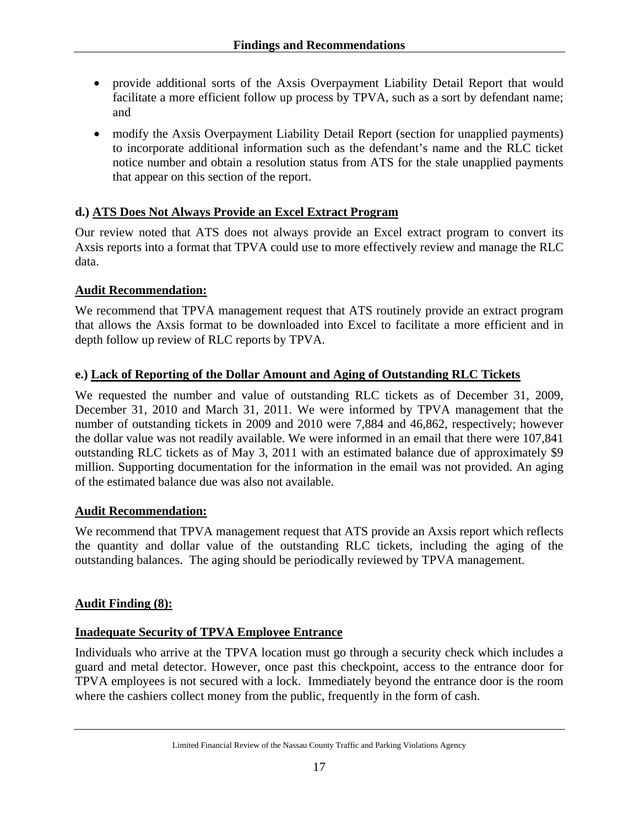- provide additional sorts of the Axsis Overpayment Liability Detail Report that would facilitate a more efficient follow up process by TPVA, such as a sort by defendant name; and
- modify the Axsis Overpayment Liability Detail Report (section for unapplied payments) to incorporate additional information such as the defendant's name and the RLC ticket notice number and obtain a resolution status from ATS for the stale unapplied payments that appear on this section of the report.

# **d.) ATS Does Not Always Provide an Excel Extract Program**

Our review noted that ATS does not always provide an Excel extract program to convert its Axsis reports into a format that TPVA could use to more effectively review and manage the RLC data.

### **Audit Recommendation:**

We recommend that TPVA management request that ATS routinely provide an extract program that allows the Axsis format to be downloaded into Excel to facilitate a more efficient and in depth follow up review of RLC reports by TPVA.

# **e.) Lack of Reporting of the Dollar Amount and Aging of Outstanding RLC Tickets**

We requested the number and value of outstanding RLC tickets as of December 31, 2009, December 31, 2010 and March 31, 2011. We were informed by TPVA management that the number of outstanding tickets in 2009 and 2010 were 7,884 and 46,862, respectively; however the dollar value was not readily available. We were informed in an email that there were 107,841 outstanding RLC tickets as of May 3, 2011 with an estimated balance due of approximately \$9 million. Supporting documentation for the information in the email was not provided. An aging of the estimated balance due was also not available.

### **Audit Recommendation:**

We recommend that TPVA management request that ATS provide an Axsis report which reflects the quantity and dollar value of the outstanding RLC tickets, including the aging of the outstanding balances. The aging should be periodically reviewed by TPVA management.

### **Audit Finding (8):**

### **Inadequate Security of TPVA Employee Entrance**

Individuals who arrive at the TPVA location must go through a security check which includes a guard and metal detector. However, once past this checkpoint, access to the entrance door for TPVA employees is not secured with a lock. Immediately beyond the entrance door is the room where the cashiers collect money from the public, frequently in the form of cash.

Limited Financial Review of the Nassau County Traffic and Parking Violations Agency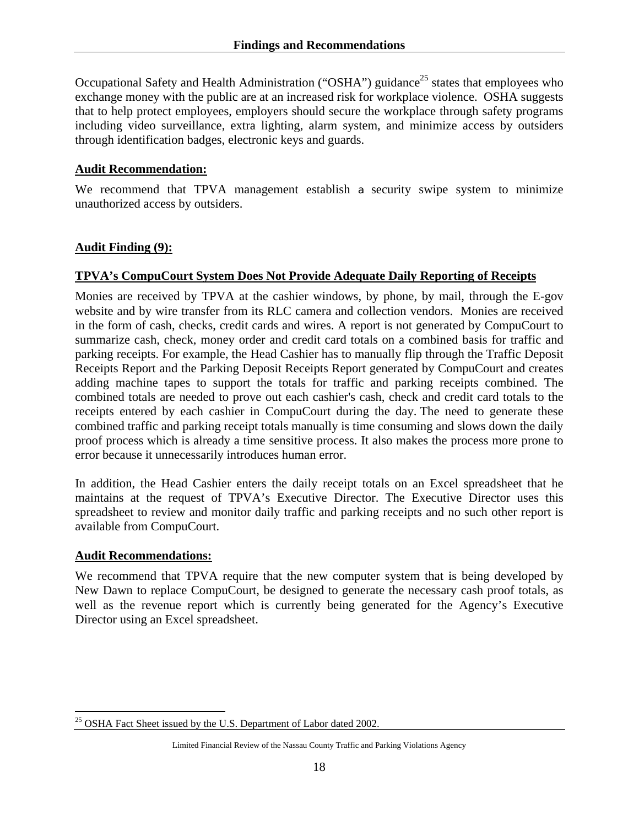Occupational Safety and Health Administration ("OSHA") guidance<sup>25</sup> states that employees who exchange money with the public are at an increased risk for workplace violence. OSHA suggests that to help protect employees, employers should secure the workplace through safety programs including video surveillance, extra lighting, alarm system, and minimize access by outsiders through identification badges, electronic keys and guards.

#### **Audit Recommendation:**

We recommend that TPVA management establish a security swipe system to minimize unauthorized access by outsiders.

#### **Audit Finding (9):**

#### **TPVA's CompuCourt System Does Not Provide Adequate Daily Reporting of Receipts**

Monies are received by TPVA at the cashier windows, by phone, by mail, through the E-gov website and by wire transfer from its RLC camera and collection vendors. Monies are received in the form of cash, checks, credit cards and wires. A report is not generated by CompuCourt to summarize cash, check, money order and credit card totals on a combined basis for traffic and parking receipts. For example, the Head Cashier has to manually flip through the Traffic Deposit Receipts Report and the Parking Deposit Receipts Report generated by CompuCourt and creates adding machine tapes to support the totals for traffic and parking receipts combined. The combined totals are needed to prove out each cashier's cash, check and credit card totals to the receipts entered by each cashier in CompuCourt during the day. The need to generate these combined traffic and parking receipt totals manually is time consuming and slows down the daily proof process which is already a time sensitive process. It also makes the process more prone to error because it unnecessarily introduces human error.

In addition, the Head Cashier enters the daily receipt totals on an Excel spreadsheet that he maintains at the request of TPVA's Executive Director. The Executive Director uses this spreadsheet to review and monitor daily traffic and parking receipts and no such other report is available from CompuCourt.

#### **Audit Recommendations:**

We recommend that TPVA require that the new computer system that is being developed by New Dawn to replace CompuCourt, be designed to generate the necessary cash proof totals, as well as the revenue report which is currently being generated for the Agency's Executive Director using an Excel spreadsheet.

 $\overline{a}$ <sup>25</sup> OSHA Fact Sheet issued by the U.S. Department of Labor dated 2002.

Limited Financial Review of the Nassau County Traffic and Parking Violations Agency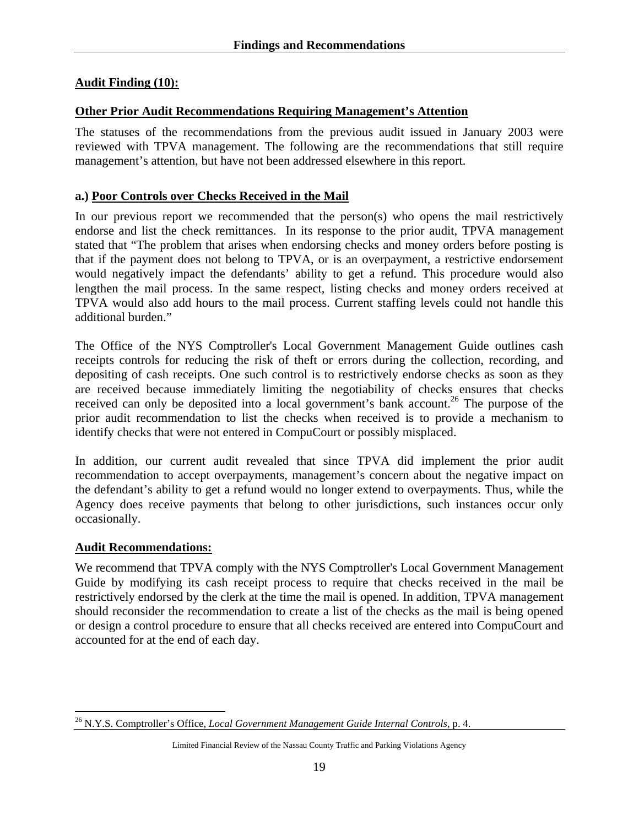#### **Audit Finding (10):**

#### **Other Prior Audit Recommendations Requiring Management's Attention**

The statuses of the recommendations from the previous audit issued in January 2003 were reviewed with TPVA management. The following are the recommendations that still require management's attention, but have not been addressed elsewhere in this report.

#### **a.) Poor Controls over Checks Received in the Mail**

In our previous report we recommended that the person(s) who opens the mail restrictively endorse and list the check remittances. In its response to the prior audit, TPVA management stated that "The problem that arises when endorsing checks and money orders before posting is that if the payment does not belong to TPVA, or is an overpayment, a restrictive endorsement would negatively impact the defendants' ability to get a refund. This procedure would also lengthen the mail process. In the same respect, listing checks and money orders received at TPVA would also add hours to the mail process. Current staffing levels could not handle this additional burden."

The Office of the NYS Comptroller's Local Government Management Guide outlines cash receipts controls for reducing the risk of theft or errors during the collection, recording, and depositing of cash receipts. One such control is to restrictively endorse checks as soon as they are received because immediately limiting the negotiability of checks ensures that checks received can only be deposited into a local government's bank account.<sup>26</sup> The purpose of the prior audit recommendation to list the checks when received is to provide a mechanism to identify checks that were not entered in CompuCourt or possibly misplaced.

In addition, our current audit revealed that since TPVA did implement the prior audit recommendation to accept overpayments, management's concern about the negative impact on the defendant's ability to get a refund would no longer extend to overpayments. Thus, while the Agency does receive payments that belong to other jurisdictions, such instances occur only occasionally.

#### **Audit Recommendations:**

 $\overline{a}$ 

We recommend that TPVA comply with the NYS Comptroller's Local Government Management Guide by modifying its cash receipt process to require that checks received in the mail be restrictively endorsed by the clerk at the time the mail is opened. In addition, TPVA management should reconsider the recommendation to create a list of the checks as the mail is being opened or design a control procedure to ensure that all checks received are entered into CompuCourt and accounted for at the end of each day.

<sup>26</sup> N.Y.S. Comptroller's Office, *Local Government Management Guide Internal Controls*, p. 4.

Limited Financial Review of the Nassau County Traffic and Parking Violations Agency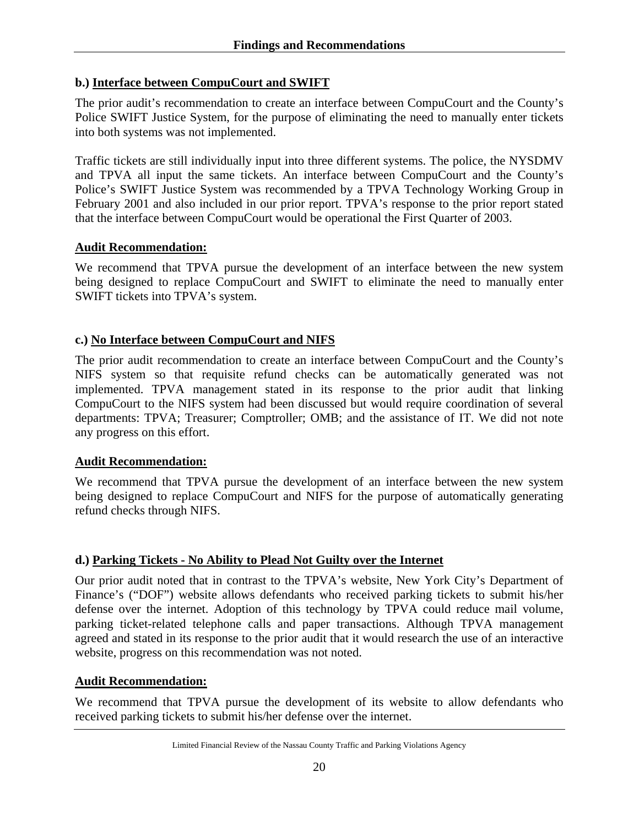#### **b.) Interface between CompuCourt and SWIFT**

The prior audit's recommendation to create an interface between CompuCourt and the County's Police SWIFT Justice System, for the purpose of eliminating the need to manually enter tickets into both systems was not implemented.

Traffic tickets are still individually input into three different systems. The police, the NYSDMV and TPVA all input the same tickets. An interface between CompuCourt and the County's Police's SWIFT Justice System was recommended by a TPVA Technology Working Group in February 2001 and also included in our prior report. TPVA's response to the prior report stated that the interface between CompuCourt would be operational the First Quarter of 2003.

#### **Audit Recommendation:**

We recommend that TPVA pursue the development of an interface between the new system being designed to replace CompuCourt and SWIFT to eliminate the need to manually enter SWIFT tickets into TPVA's system.

#### **c.) No Interface between CompuCourt and NIFS**

The prior audit recommendation to create an interface between CompuCourt and the County's NIFS system so that requisite refund checks can be automatically generated was not implemented. TPVA management stated in its response to the prior audit that linking CompuCourt to the NIFS system had been discussed but would require coordination of several departments: TPVA; Treasurer; Comptroller; OMB; and the assistance of IT. We did not note any progress on this effort.

#### **Audit Recommendation:**

We recommend that TPVA pursue the development of an interface between the new system being designed to replace CompuCourt and NIFS for the purpose of automatically generating refund checks through NIFS.

#### **d.) Parking Tickets - No Ability to Plead Not Guilty over the Internet**

Our prior audit noted that in contrast to the TPVA's website, New York City's Department of Finance's ("DOF") website allows defendants who received parking tickets to submit his/her defense over the internet. Adoption of this technology by TPVA could reduce mail volume, parking ticket-related telephone calls and paper transactions. Although TPVA management agreed and stated in its response to the prior audit that it would research the use of an interactive website, progress on this recommendation was not noted.

#### **Audit Recommendation:**

We recommend that TPVA pursue the development of its website to allow defendants who received parking tickets to submit his/her defense over the internet.

Limited Financial Review of the Nassau County Traffic and Parking Violations Agency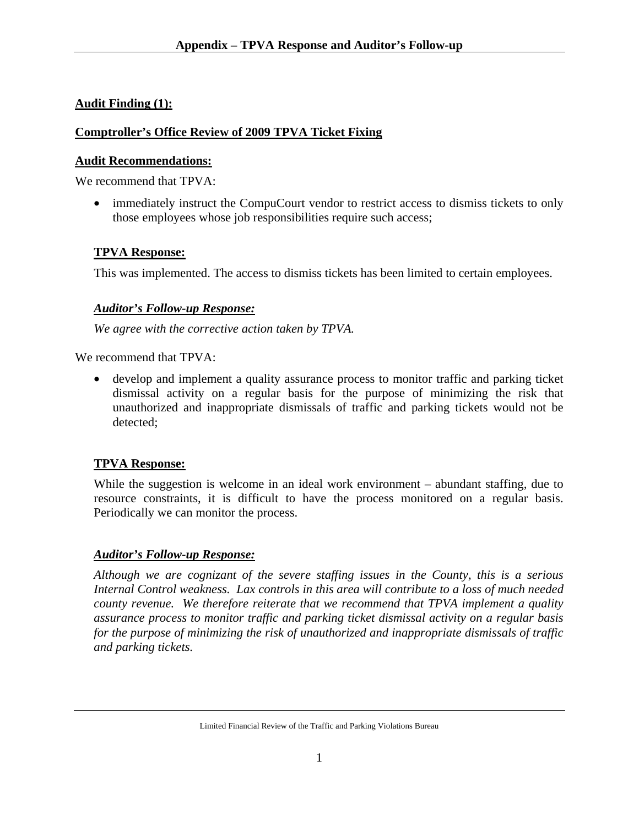# **Audit Finding (1):**

# **Comptroller's Office Review of 2009 TPVA Ticket Fixing**

# **Audit Recommendations:**

We recommend that TPVA:

• immediately instruct the CompuCourt vendor to restrict access to dismiss tickets to only those employees whose job responsibilities require such access;

# **TPVA Response:**

This was implemented. The access to dismiss tickets has been limited to certain employees.

# *Auditor's Follow-up Response:*

*We agree with the corrective action taken by TPVA.* 

We recommend that TPVA:

• develop and implement a quality assurance process to monitor traffic and parking ticket dismissal activity on a regular basis for the purpose of minimizing the risk that unauthorized and inappropriate dismissals of traffic and parking tickets would not be detected;

# **TPVA Response:**

While the suggestion is welcome in an ideal work environment – abundant staffing, due to resource constraints, it is difficult to have the process monitored on a regular basis. Periodically we can monitor the process.

# *Auditor's Follow-up Response:*

*Although we are cognizant of the severe staffing issues in the County, this is a serious Internal Control weakness. Lax controls in this area will contribute to a loss of much needed county revenue. We therefore reiterate that we recommend that TPVA implement a quality assurance process to monitor traffic and parking ticket dismissal activity on a regular basis for the purpose of minimizing the risk of unauthorized and inappropriate dismissals of traffic and parking tickets.*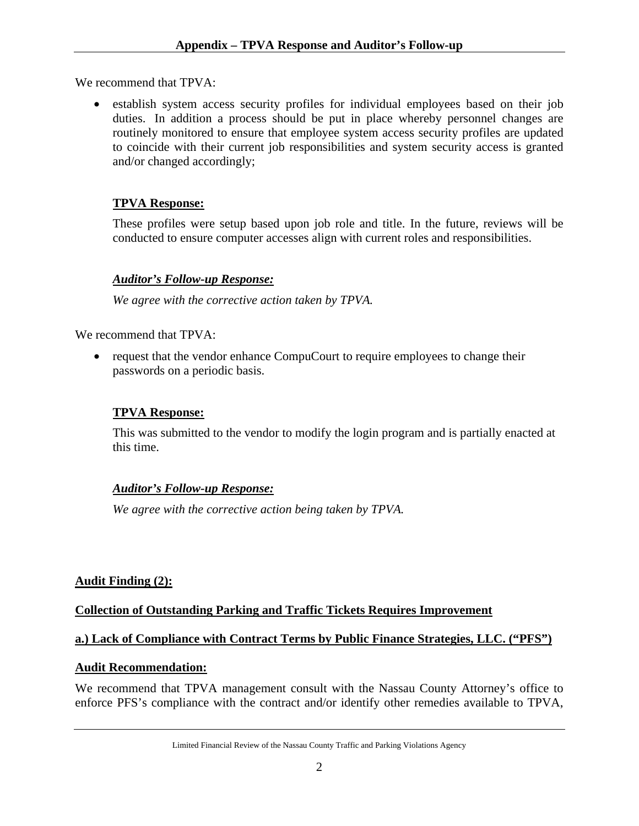We recommend that TPVA:

• establish system access security profiles for individual employees based on their job duties. In addition a process should be put in place whereby personnel changes are routinely monitored to ensure that employee system access security profiles are updated to coincide with their current job responsibilities and system security access is granted and/or changed accordingly;

### **TPVA Response:**

These profiles were setup based upon job role and title. In the future, reviews will be conducted to ensure computer accesses align with current roles and responsibilities.

### *Auditor's Follow-up Response:*

*We agree with the corrective action taken by TPVA.* 

We recommend that TPVA:

• request that the vendor enhance CompuCourt to require employees to change their passwords on a periodic basis.

### **TPVA Response:**

This was submitted to the vendor to modify the login program and is partially enacted at this time.

### *Auditor's Follow-up Response:*

*We agree with the corrective action being taken by TPVA.* 

### **Audit Finding (2):**

### **Collection of Outstanding Parking and Traffic Tickets Requires Improvement**

### **a.) Lack of Compliance with Contract Terms by Public Finance Strategies, LLC. ("PFS")**

### **Audit Recommendation:**

We recommend that TPVA management consult with the Nassau County Attorney's office to enforce PFS's compliance with the contract and/or identify other remedies available to TPVA,

Limited Financial Review of the Nassau County Traffic and Parking Violations Agency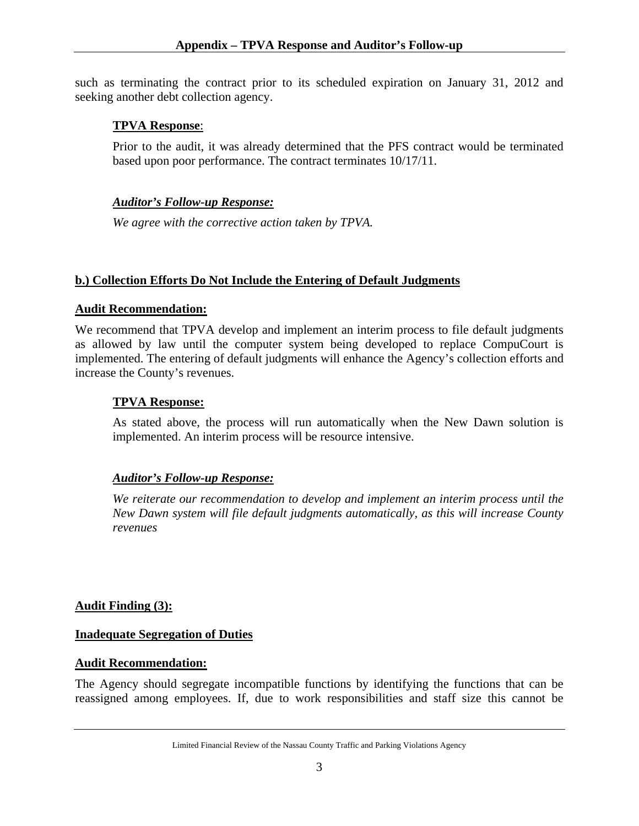such as terminating the contract prior to its scheduled expiration on January 31, 2012 and seeking another debt collection agency.

### **TPVA Response**:

Prior to the audit, it was already determined that the PFS contract would be terminated based upon poor performance. The contract terminates 10/17/11.

# *Auditor's Follow-up Response:*

*We agree with the corrective action taken by TPVA.* 

# **b.) Collection Efforts Do Not Include the Entering of Default Judgments**

### **Audit Recommendation:**

We recommend that TPVA develop and implement an interim process to file default judgments as allowed by law until the computer system being developed to replace CompuCourt is implemented. The entering of default judgments will enhance the Agency's collection efforts and increase the County's revenues.

### **TPVA Response:**

As stated above, the process will run automatically when the New Dawn solution is implemented. An interim process will be resource intensive.

### *Auditor's Follow-up Response:*

*We reiterate our recommendation to develop and implement an interim process until the New Dawn system will file default judgments automatically, as this will increase County revenues* 

### **Audit Finding (3):**

### **Inadequate Segregation of Duties**

### **Audit Recommendation:**

The Agency should segregate incompatible functions by identifying the functions that can be reassigned among employees. If, due to work responsibilities and staff size this cannot be

Limited Financial Review of the Nassau County Traffic and Parking Violations Agency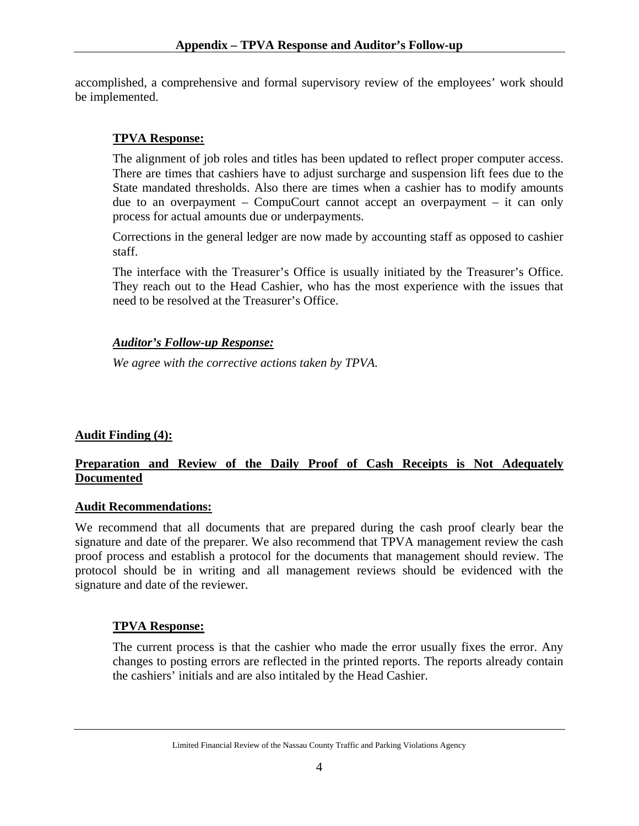accomplished, a comprehensive and formal supervisory review of the employees' work should be implemented.

# **TPVA Response:**

The alignment of job roles and titles has been updated to reflect proper computer access. There are times that cashiers have to adjust surcharge and suspension lift fees due to the State mandated thresholds. Also there are times when a cashier has to modify amounts due to an overpayment – CompuCourt cannot accept an overpayment – it can only process for actual amounts due or underpayments.

Corrections in the general ledger are now made by accounting staff as opposed to cashier staff.

The interface with the Treasurer's Office is usually initiated by the Treasurer's Office. They reach out to the Head Cashier, who has the most experience with the issues that need to be resolved at the Treasurer's Office.

### *Auditor's Follow-up Response:*

*We agree with the corrective actions taken by TPVA.*

# **Audit Finding (4):**

# **Preparation and Review of the Daily Proof of Cash Receipts is Not Adequately Documented**

### **Audit Recommendations:**

We recommend that all documents that are prepared during the cash proof clearly bear the signature and date of the preparer. We also recommend that TPVA management review the cash proof process and establish a protocol for the documents that management should review. The protocol should be in writing and all management reviews should be evidenced with the signature and date of the reviewer.

### **TPVA Response:**

The current process is that the cashier who made the error usually fixes the error. Any changes to posting errors are reflected in the printed reports. The reports already contain the cashiers' initials and are also intitaled by the Head Cashier.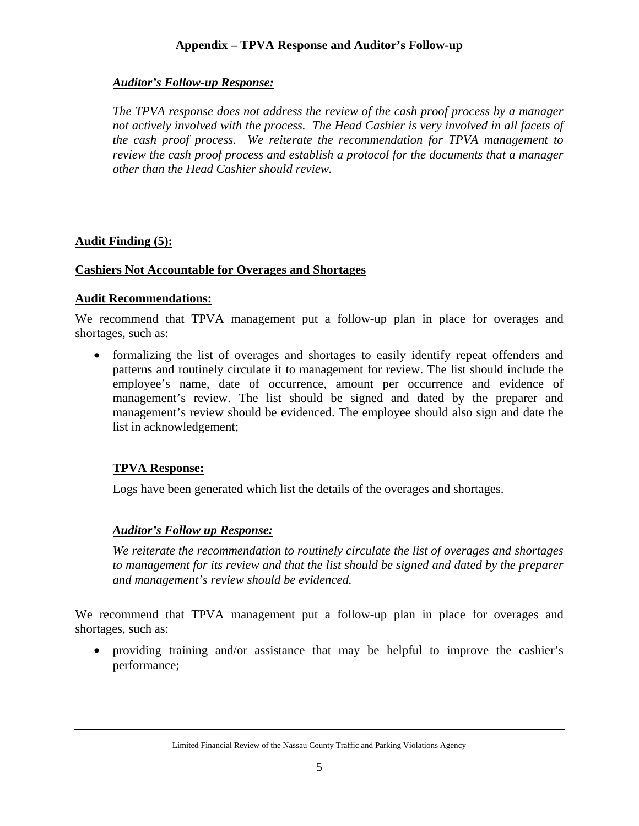### *Auditor's Follow-up Response:*

*The TPVA response does not address the review of the cash proof process by a manager not actively involved with the process. The Head Cashier is very involved in all facets of the cash proof process. We reiterate the recommendation for TPVA management to review the cash proof process and establish a protocol for the documents that a manager other than the Head Cashier should review.* 

### **Audit Finding (5):**

### **Cashiers Not Accountable for Overages and Shortages**

#### **Audit Recommendations:**

We recommend that TPVA management put a follow-up plan in place for overages and shortages, such as:

• formalizing the list of overages and shortages to easily identify repeat offenders and patterns and routinely circulate it to management for review. The list should include the employee's name, date of occurrence, amount per occurrence and evidence of management's review. The list should be signed and dated by the preparer and management's review should be evidenced. The employee should also sign and date the list in acknowledgement;

### **TPVA Response:**

Logs have been generated which list the details of the overages and shortages.

### *Auditor's Follow up Response:*

*We reiterate the recommendation to routinely circulate the list of overages and shortages to management for its review and that the list should be signed and dated by the preparer and management's review should be evidenced.* 

We recommend that TPVA management put a follow-up plan in place for overages and shortages, such as:

• providing training and/or assistance that may be helpful to improve the cashier's performance;

Limited Financial Review of the Nassau County Traffic and Parking Violations Agency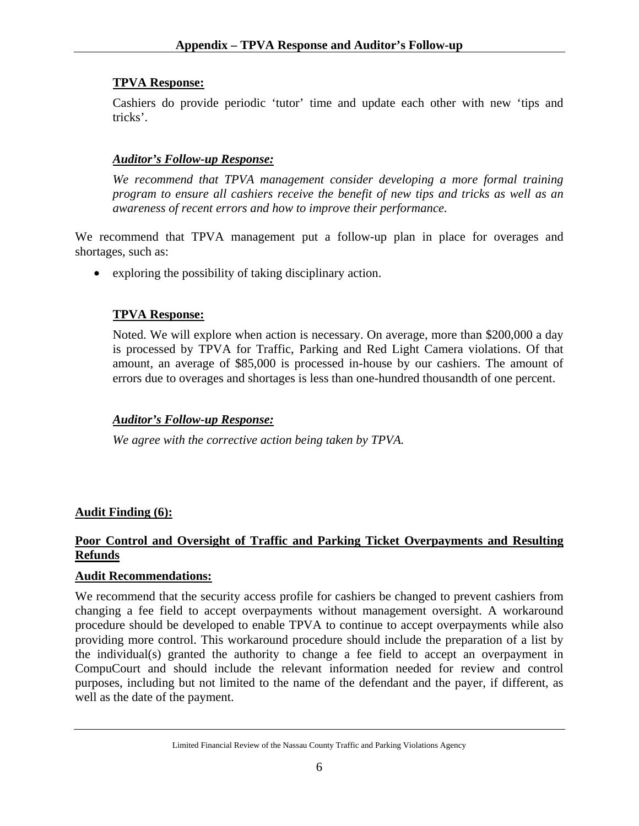Cashiers do provide periodic 'tutor' time and update each other with new 'tips and tricks'.

# *Auditor's Follow-up Response:*

*We recommend that TPVA management consider developing a more formal training program to ensure all cashiers receive the benefit of new tips and tricks as well as an awareness of recent errors and how to improve their performance.* 

We recommend that TPVA management put a follow-up plan in place for overages and shortages, such as:

• exploring the possibility of taking disciplinary action.

# **TPVA Response:**

Noted. We will explore when action is necessary. On average, more than \$200,000 a day is processed by TPVA for Traffic, Parking and Red Light Camera violations. Of that amount, an average of \$85,000 is processed in-house by our cashiers. The amount of errors due to overages and shortages is less than one-hundred thousandth of one percent.

# *Auditor's Follow-up Response:*

*We agree with the corrective action being taken by TPVA.*

# **Audit Finding (6):**

# **Poor Control and Oversight of Traffic and Parking Ticket Overpayments and Resulting Refunds**

# **Audit Recommendations:**

We recommend that the security access profile for cashiers be changed to prevent cashiers from changing a fee field to accept overpayments without management oversight. A workaround procedure should be developed to enable TPVA to continue to accept overpayments while also providing more control. This workaround procedure should include the preparation of a list by the individual(s) granted the authority to change a fee field to accept an overpayment in CompuCourt and should include the relevant information needed for review and control purposes, including but not limited to the name of the defendant and the payer, if different, as well as the date of the payment.

Limited Financial Review of the Nassau County Traffic and Parking Violations Agency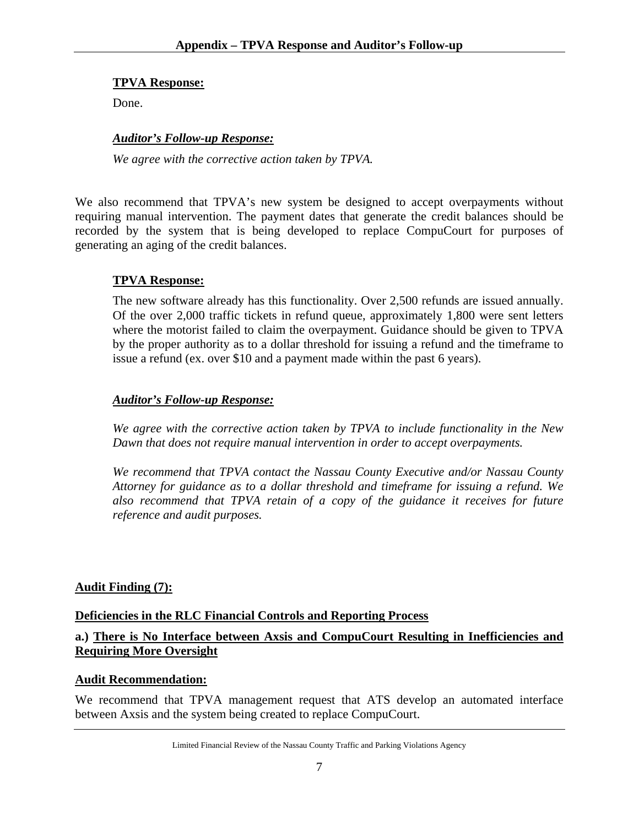Done.

#### *Auditor's Follow-up Response:*

*We agree with the corrective action taken by TPVA.* 

We also recommend that TPVA's new system be designed to accept overpayments without requiring manual intervention. The payment dates that generate the credit balances should be recorded by the system that is being developed to replace CompuCourt for purposes of generating an aging of the credit balances.

#### **TPVA Response:**

The new software already has this functionality. Over 2,500 refunds are issued annually. Of the over 2,000 traffic tickets in refund queue, approximately 1,800 were sent letters where the motorist failed to claim the overpayment. Guidance should be given to TPVA by the proper authority as to a dollar threshold for issuing a refund and the timeframe to issue a refund (ex. over \$10 and a payment made within the past 6 years).

#### *Auditor's Follow-up Response:*

*We agree with the corrective action taken by TPVA to include functionality in the New Dawn that does not require manual intervention in order to accept overpayments.* 

*We recommend that TPVA contact the Nassau County Executive and/or Nassau County Attorney for guidance as to a dollar threshold and timeframe for issuing a refund. We also recommend that TPVA retain of a copy of the guidance it receives for future reference and audit purposes.* 

### **Audit Finding (7):**

#### **Deficiencies in the RLC Financial Controls and Reporting Process**

### **a.) There is No Interface between Axsis and CompuCourt Resulting in Inefficiencies and Requiring More Oversight**

### **Audit Recommendation:**

We recommend that TPVA management request that ATS develop an automated interface between Axsis and the system being created to replace CompuCourt.

Limited Financial Review of the Nassau County Traffic and Parking Violations Agency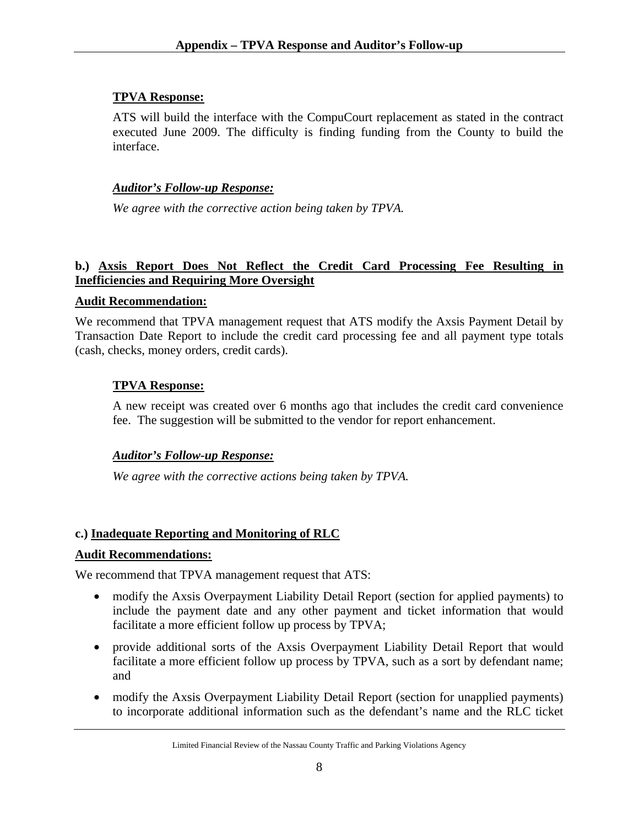ATS will build the interface with the CompuCourt replacement as stated in the contract executed June 2009. The difficulty is finding funding from the County to build the interface.

# *Auditor's Follow-up Response:*

*We agree with the corrective action being taken by TPVA.* 

# **b.) Axsis Report Does Not Reflect the Credit Card Processing Fee Resulting in Inefficiencies and Requiring More Oversight**

# **Audit Recommendation:**

We recommend that TPVA management request that ATS modify the Axsis Payment Detail by Transaction Date Report to include the credit card processing fee and all payment type totals (cash, checks, money orders, credit cards).

# **TPVA Response:**

A new receipt was created over 6 months ago that includes the credit card convenience fee. The suggestion will be submitted to the vendor for report enhancement.

# *Auditor's Follow-up Response:*

*We agree with the corrective actions being taken by TPVA.*

# **c.) Inadequate Reporting and Monitoring of RLC**

# **Audit Recommendations:**

We recommend that TPVA management request that ATS:

- modify the Axsis Overpayment Liability Detail Report (section for applied payments) to include the payment date and any other payment and ticket information that would facilitate a more efficient follow up process by TPVA;
- provide additional sorts of the Axsis Overpayment Liability Detail Report that would facilitate a more efficient follow up process by TPVA, such as a sort by defendant name; and
- modify the Axsis Overpayment Liability Detail Report (section for unapplied payments) to incorporate additional information such as the defendant's name and the RLC ticket

Limited Financial Review of the Nassau County Traffic and Parking Violations Agency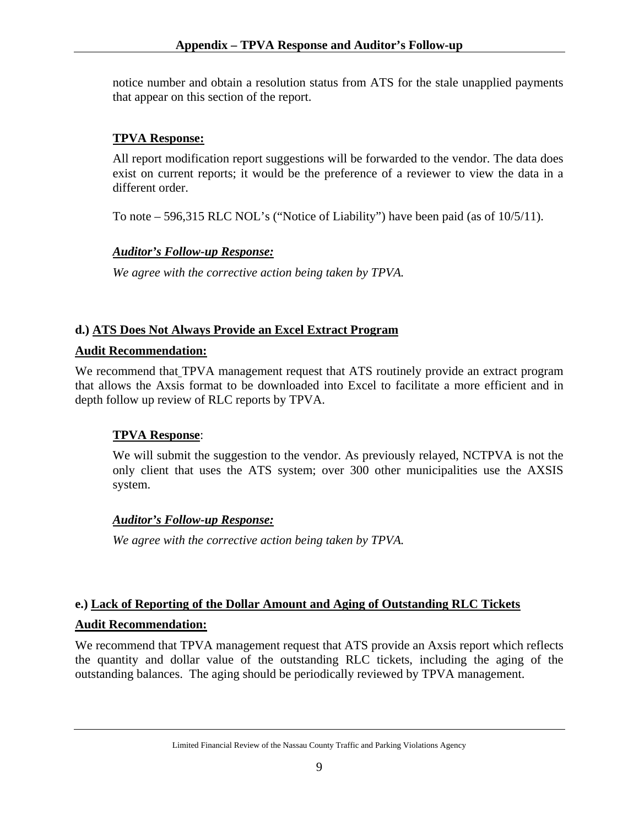notice number and obtain a resolution status from ATS for the stale unapplied payments that appear on this section of the report.

# **TPVA Response:**

All report modification report suggestions will be forwarded to the vendor. The data does exist on current reports; it would be the preference of a reviewer to view the data in a different order.

To note – 596,315 RLC NOL's ("Notice of Liability") have been paid (as of 10/5/11).

# *Auditor's Follow-up Response:*

*We agree with the corrective action being taken by TPVA.* 

# **d.) ATS Does Not Always Provide an Excel Extract Program**

### **Audit Recommendation:**

We recommend that TPVA management request that ATS routinely provide an extract program that allows the Axsis format to be downloaded into Excel to facilitate a more efficient and in depth follow up review of RLC reports by TPVA.

### **TPVA Response**:

We will submit the suggestion to the vendor. As previously relayed, NCTPVA is not the only client that uses the ATS system; over 300 other municipalities use the AXSIS system.

### *Auditor's Follow-up Response:*

*We agree with the corrective action being taken by TPVA.*

# **e.) Lack of Reporting of the Dollar Amount and Aging of Outstanding RLC Tickets Audit Recommendation:**

We recommend that TPVA management request that ATS provide an Axsis report which reflects the quantity and dollar value of the outstanding RLC tickets, including the aging of the outstanding balances. The aging should be periodically reviewed by TPVA management.

Limited Financial Review of the Nassau County Traffic and Parking Violations Agency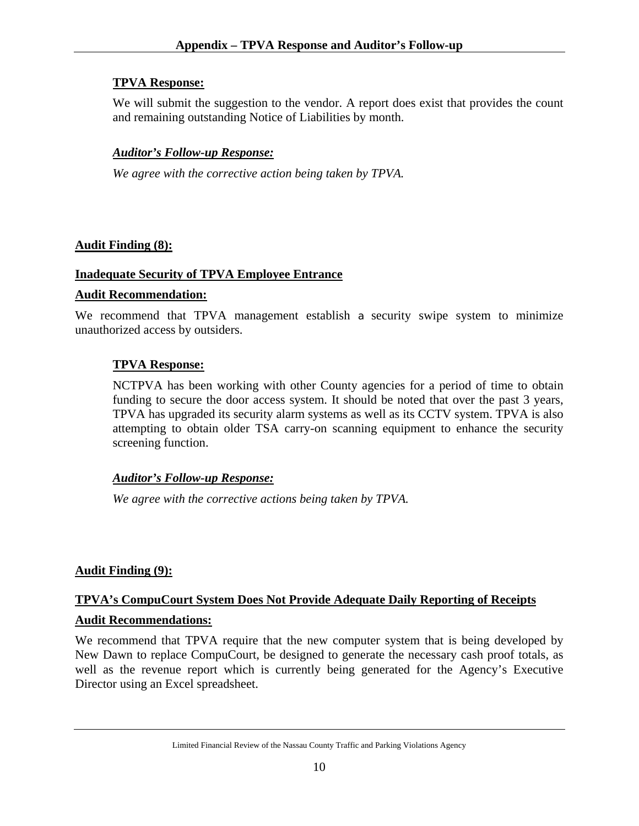We will submit the suggestion to the vendor. A report does exist that provides the count and remaining outstanding Notice of Liabilities by month.

### *Auditor's Follow-up Response:*

*We agree with the corrective action being taken by TPVA.*

# **Audit Finding (8):**

### **Inadequate Security of TPVA Employee Entrance**

### **Audit Recommendation:**

We recommend that TPVA management establish a security swipe system to minimize unauthorized access by outsiders.

# **TPVA Response:**

NCTPVA has been working with other County agencies for a period of time to obtain funding to secure the door access system. It should be noted that over the past 3 years, TPVA has upgraded its security alarm systems as well as its CCTV system. TPVA is also attempting to obtain older TSA carry-on scanning equipment to enhance the security screening function.

### *Auditor's Follow-up Response:*

*We agree with the corrective actions being taken by TPVA.* 

# **Audit Finding (9):**

# **TPVA's CompuCourt System Does Not Provide Adequate Daily Reporting of Receipts**

### **Audit Recommendations:**

We recommend that TPVA require that the new computer system that is being developed by New Dawn to replace CompuCourt, be designed to generate the necessary cash proof totals, as well as the revenue report which is currently being generated for the Agency's Executive Director using an Excel spreadsheet.

Limited Financial Review of the Nassau County Traffic and Parking Violations Agency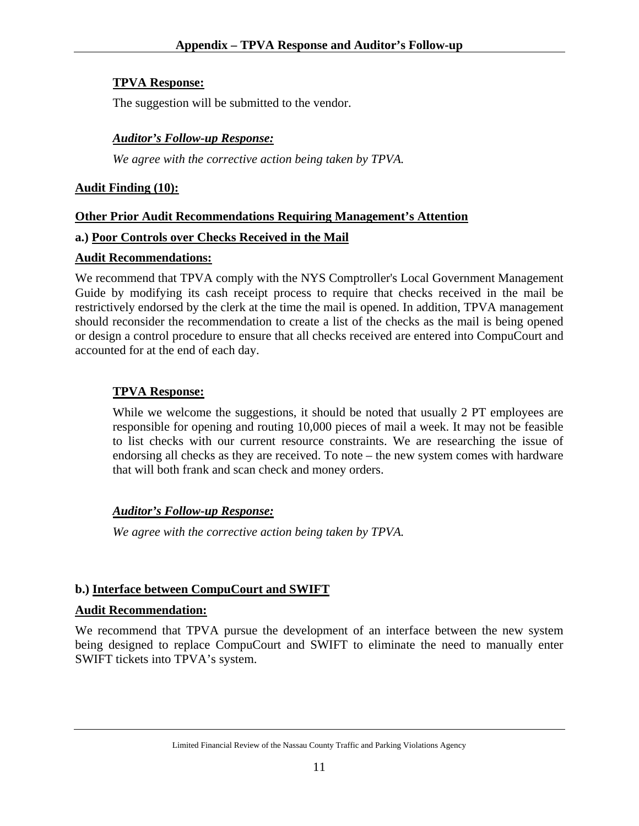The suggestion will be submitted to the vendor.

#### *Auditor's Follow-up Response:*

*We agree with the corrective action being taken by TPVA.*

#### **Audit Finding (10):**

#### **Other Prior Audit Recommendations Requiring Management's Attention**

#### **a.) Poor Controls over Checks Received in the Mail**

#### **Audit Recommendations:**

We recommend that TPVA comply with the NYS Comptroller's Local Government Management Guide by modifying its cash receipt process to require that checks received in the mail be restrictively endorsed by the clerk at the time the mail is opened. In addition, TPVA management should reconsider the recommendation to create a list of the checks as the mail is being opened or design a control procedure to ensure that all checks received are entered into CompuCourt and accounted for at the end of each day.

#### **TPVA Response:**

While we welcome the suggestions, it should be noted that usually 2 PT employees are responsible for opening and routing 10,000 pieces of mail a week. It may not be feasible to list checks with our current resource constraints. We are researching the issue of endorsing all checks as they are received. To note – the new system comes with hardware that will both frank and scan check and money orders.

#### *Auditor's Follow-up Response:*

*We agree with the corrective action being taken by TPVA.* 

#### **b.) Interface between CompuCourt and SWIFT**

#### **Audit Recommendation:**

We recommend that TPVA pursue the development of an interface between the new system being designed to replace CompuCourt and SWIFT to eliminate the need to manually enter SWIFT tickets into TPVA's system.

Limited Financial Review of the Nassau County Traffic and Parking Violations Agency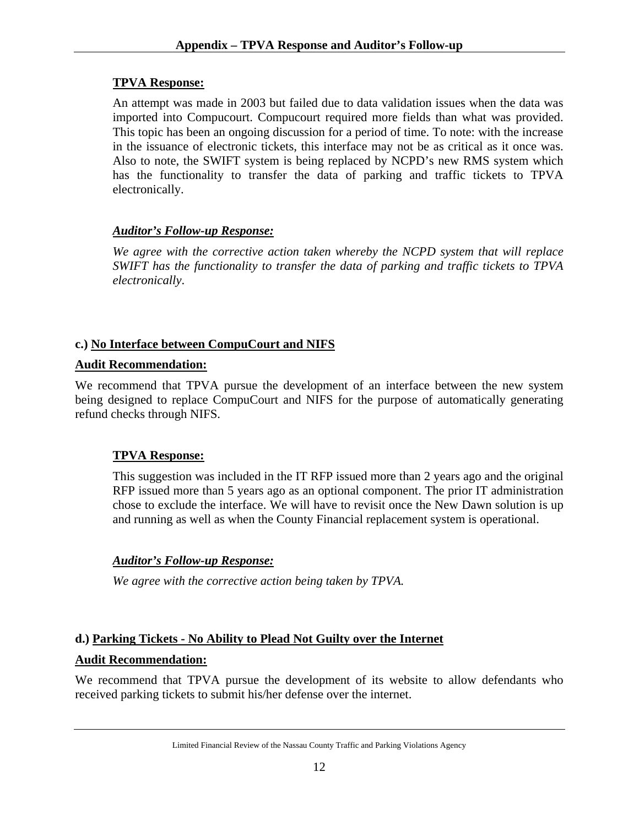An attempt was made in 2003 but failed due to data validation issues when the data was imported into Compucourt. Compucourt required more fields than what was provided. This topic has been an ongoing discussion for a period of time. To note: with the increase in the issuance of electronic tickets, this interface may not be as critical as it once was. Also to note, the SWIFT system is being replaced by NCPD's new RMS system which has the functionality to transfer the data of parking and traffic tickets to TPVA electronically.

# *Auditor's Follow-up Response:*

*We agree with the corrective action taken whereby the NCPD system that will replace SWIFT has the functionality to transfer the data of parking and traffic tickets to TPVA electronically*.

# **c.) No Interface between CompuCourt and NIFS**

# **Audit Recommendation:**

We recommend that TPVA pursue the development of an interface between the new system being designed to replace CompuCourt and NIFS for the purpose of automatically generating refund checks through NIFS.

# **TPVA Response:**

This suggestion was included in the IT RFP issued more than 2 years ago and the original RFP issued more than 5 years ago as an optional component. The prior IT administration chose to exclude the interface. We will have to revisit once the New Dawn solution is up and running as well as when the County Financial replacement system is operational.

# *Auditor's Follow-up Response:*

*We agree with the corrective action being taken by TPVA.* 

# **d.) Parking Tickets - No Ability to Plead Not Guilty over the Internet Audit Recommendation:**

We recommend that TPVA pursue the development of its website to allow defendants who received parking tickets to submit his/her defense over the internet.

Limited Financial Review of the Nassau County Traffic and Parking Violations Agency